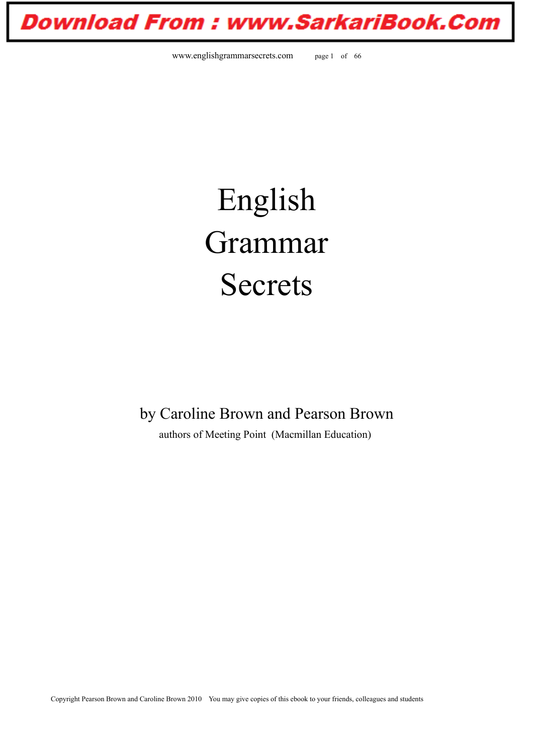

www.englishgrammarsecrets.com page 1 of 66

# English Grammar **Secrets**

### by Caroline Brown and Pearson Brown

authors of Meeting Point (Macmillan Education)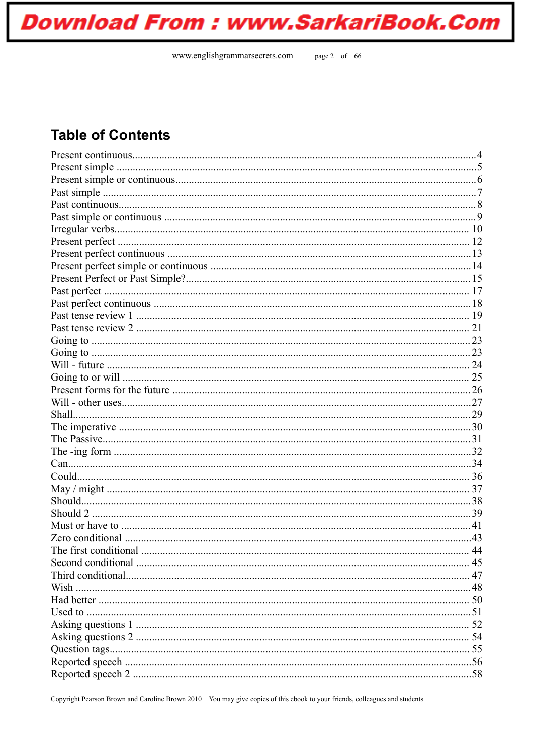www.englishgrammarsecrets.com page 2 of 66

#### **Table of Contents**

| The first conditional | 44 |
|-----------------------|----|
|                       |    |
|                       |    |
|                       |    |
|                       |    |
|                       |    |
|                       |    |
|                       |    |
|                       |    |
|                       |    |
|                       |    |
|                       |    |

Copyright Pearson Brown and Caroline Brown 2010 You may give copies of this ebook to your friends, colleagues and students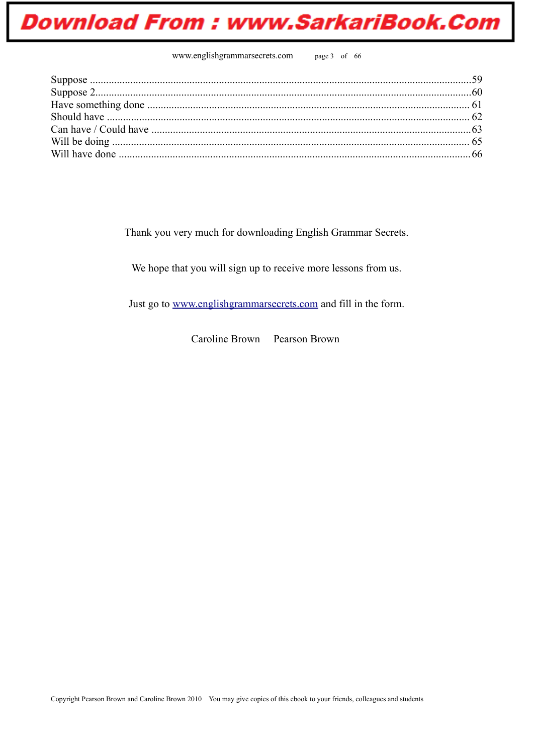www.englishgrammarsecrets.com page 3 of 66

Thank you very much for downloading English Grammar Secrets.

We hope that you will sign up to receive more lessons from us.

Just go to [www.englishgrammarsecrets.com](http://www.englishgrammarsecrets.com/) and fill in the form.

Caroline Brown Pearson Brown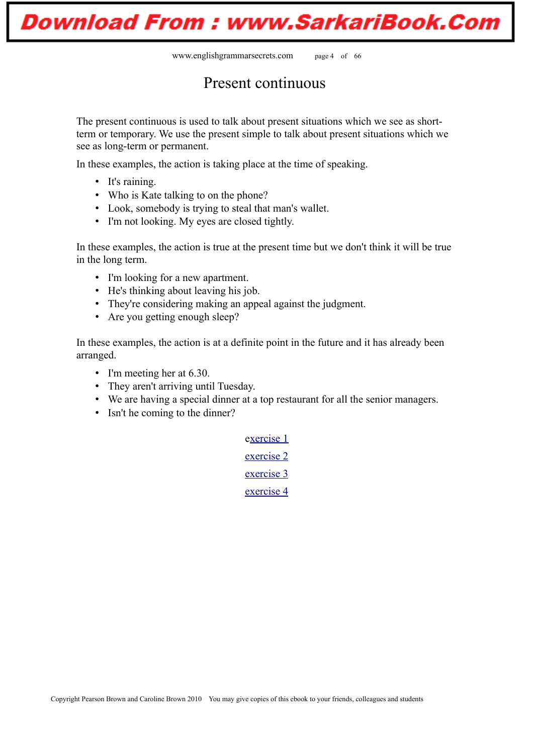www.englishgrammarsecrets.com page 4 of 66

#### Present continuous

The present continuous is used to talk about present situations which we see as shortterm or temporary. We use the present simple to talk about present situations which we see as long-term or permanent.

In these examples, the action is taking place at the time of speaking.

- It's raining.
- Who is Kate talking to on the phone?
- Look, somebody is trying to steal that man's wallet.
- I'm not looking. My eyes are closed tightly.

In these examples, the action is true at the present time but we don't think it will be true in the long term.

- I'm looking for a new apartment.
- He's thinking about leaving his job.
- They're considering making an appeal against the judgment.
- Are you getting enough sleep?

In these examples, the action is at a definite point in the future and it has already been arranged.

- I'm meeting her at 6.30.
- They aren't arriving until Tuesday.
- We are having a special dinner at a top restaurant for all the senior managers.
- Isn't he coming to the dinner?

[exercise 1](http://englishgrammarsecrets.com/presentcontinuous/exercise1.html) [exercise 2](http://englishgrammarsecrets.com/presentcontinuous/exercise2.html) [exercise 3](http://englishgrammarsecrets.com/presentcontinuous/exercise3.html) [exercise 4](http://englishgrammarsecrets.com/presentcontinuous/exercise4.html)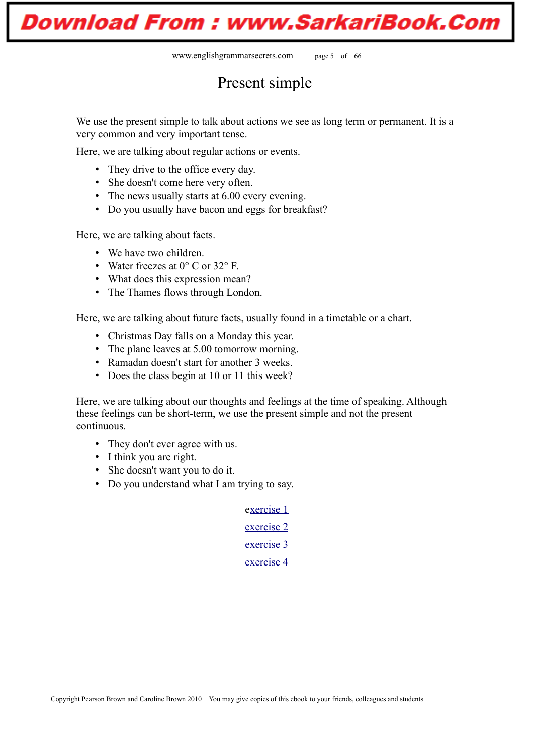www.englishgrammarsecrets.com page 5 of 66

### Present simple

We use the present simple to talk about actions we see as long term or permanent. It is a very common and very important tense.

Here, we are talking about regular actions or events.

- They drive to the office every day.
- She doesn't come here very often.
- The news usually starts at 6.00 every evening.
- Do you usually have bacon and eggs for breakfast?

Here, we are talking about facts.

- We have two children.
- Water freezes at  $0^{\circ}$  C or 32° F.
- What does this expression mean?
- The Thames flows through London.

Here, we are talking about future facts, usually found in a timetable or a chart.

- Christmas Day falls on a Monday this year.
- The plane leaves at 5.00 tomorrow morning.
- Ramadan doesn't start for another 3 weeks.
- Does the class begin at 10 or 11 this week?

Here, we are talking about our thoughts and feelings at the time of speaking. Although these feelings can be short-term, we use the present simple and not the present continuous.

- They don't ever agree with us.
- I think you are right.
- She doesn't want you to do it.
- Do you understand what I am trying to say.

[exercise 1](http://englishgrammarsecrets.com/presentsimple/exercise1.swf)

[exercise 2](http://englishgrammarsecrets.com/presentsimple/exercise2.swf)

[exercise 3](http://englishgrammarsecrets.com/presentsimple/exercise3.swf)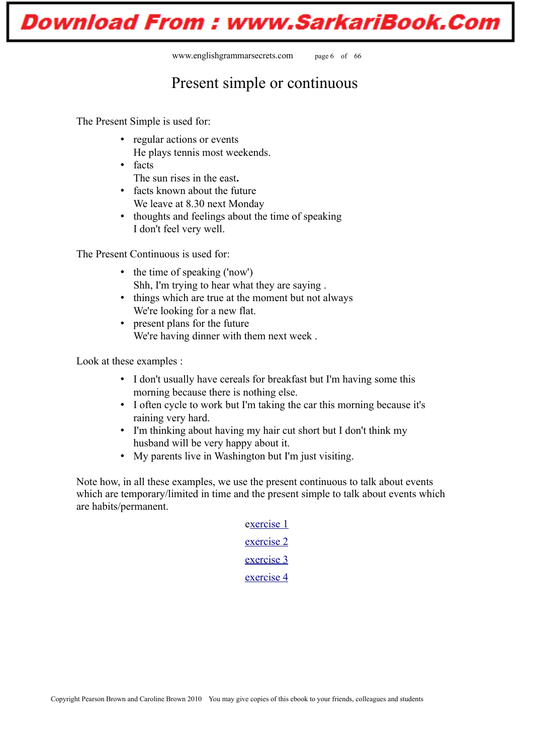www.englishgrammarsecrets.com page 6 of 66

#### Present simple or continuous

The Present Simple is used for:

- regular actions or events He plays tennis most weekends.
- facts
	- The sun rises in the east**.**
- facts known about the future We leave at 8.30 next Monday
- thoughts and feelings about the time of speaking I don't feel very well.

The Present Continuous is used for:

- the time of speaking ('now') Shh, I'm trying to hear what they are saying .
- things which are true at the moment but not always We're looking for a new flat.
- present plans for the future We're having dinner with them next week .

Look at these examples :

- I don't usually have cereals for breakfast but I'm having some this morning because there is nothing else.
- I often cycle to work but I'm taking the car this morning because it's raining very hard.
- I'm thinking about having my hair cut short but I don't think my husband will be very happy about it.
- My parents live in Washington but I'm just visiting.

Note how, in all these examples, we use the present continuous to talk about events which are temporary/limited in time and the present simple to talk about events which are habits/permanent.

> [exercise 1](http://englishgrammarsecrets.com/presentsimpleorcontinuous/exercise1.swf) [exercise 2](http://englishgrammarsecrets.com/presentsimpleorcontinuous/exercise2.swf) [exercise 3](http://englishgrammarsecrets.com/presentsimpleorcontinuous/exercise3.swf) [exercise 4](http://englishgrammarsecrets.com/presentsimpleorcontinuous/exercise4.swf)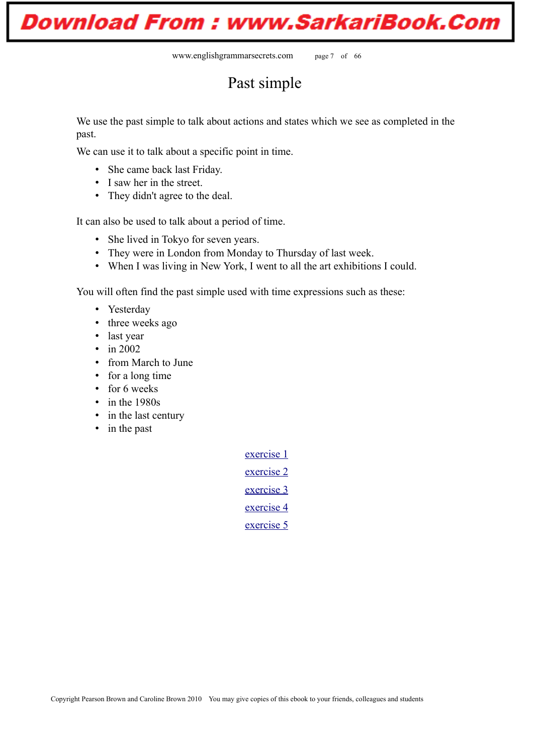www.englishgrammarsecrets.com page 7 of 66

### Past simple

We use the past simple to talk about actions and states which we see as completed in the past.

We can use it to talk about a specific point in time.

- She came back last Friday.
- I saw her in the street.
- They didn't agree to the deal.

It can also be used to talk about a period of time.

- She lived in Tokyo for seven years.
- They were in London from Monday to Thursday of last week.
- When I was living in New York, I went to all the art exhibitions I could.

You will often find the past simple used with time expressions such as these:

- Yesterday
- three weeks ago
- last year
- in 2002
- from March to June
- for a long time
- for 6 weeks
- in the 1980s
- in the last century
- in the past

- [exercise 1](http://englishgrammarsecrets.com/pastsimple/exercise1.html)
- [exercise 2](http://englishgrammarsecrets.com/pastsimple/exercise2.html)
- [exercise 3](http://englishgrammarsecrets.com/pastsimple/exercise3.html)
- [exercise 4](http://englishgrammarsecrets.com/pastsimple/exercise4.html)
- [exercise 5](http://englishgrammarsecrets.com/pastsimple/exercise5.html)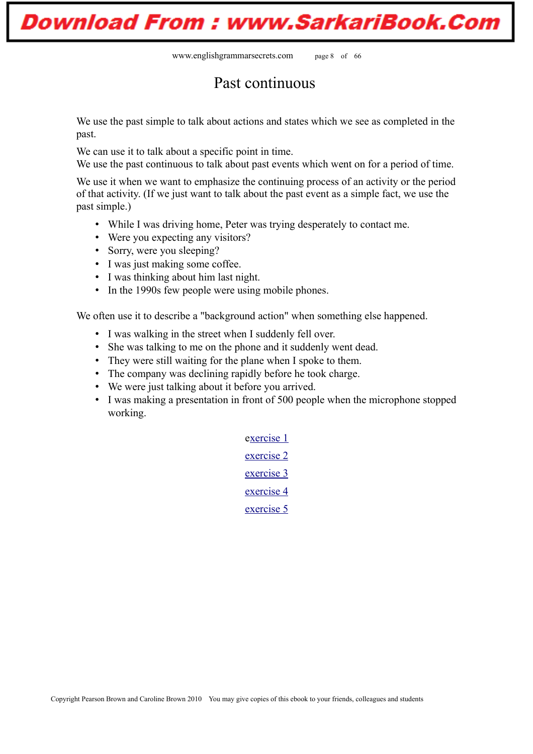www.englishgrammarsecrets.com page 8 of 66

#### Past continuous

We use the past simple to talk about actions and states which we see as completed in the past.

We can use it to talk about a specific point in time.

We use the past continuous to talk about past events which went on for a period of time.

We use it when we want to emphasize the continuing process of an activity or the period of that activity. (If we just want to talk about the past event as a simple fact, we use the past simple.)

- While I was driving home, Peter was trying desperately to contact me.
- Were you expecting any visitors?
- Sorry, were you sleeping?
- I was just making some coffee.
- I was thinking about him last night.
- In the 1990s few people were using mobile phones.

We often use it to describe a "background action" when something else happened.

- I was walking in the street when I suddenly fell over.
- She was talking to me on the phone and it suddenly went dead.
- They were still waiting for the plane when I spoke to them.
- The company was declining rapidly before he took charge.
- We were just talking about it before you arrived.
- I was making a presentation in front of 500 people when the microphone stopped working.

#### [exercise 1](http://englishgrammarsecrets.com/pastcontinuous/exercise1.html)

[exercise 2](http://englishgrammarsecrets.com/pastcontinuous/exercise2.html)

- [exercise 3](http://englishgrammarsecrets.com/pastcontinuous/exercise3.html)
- [exercise 4](http://englishgrammarsecrets.com/pastcontinuous/exercise4.html)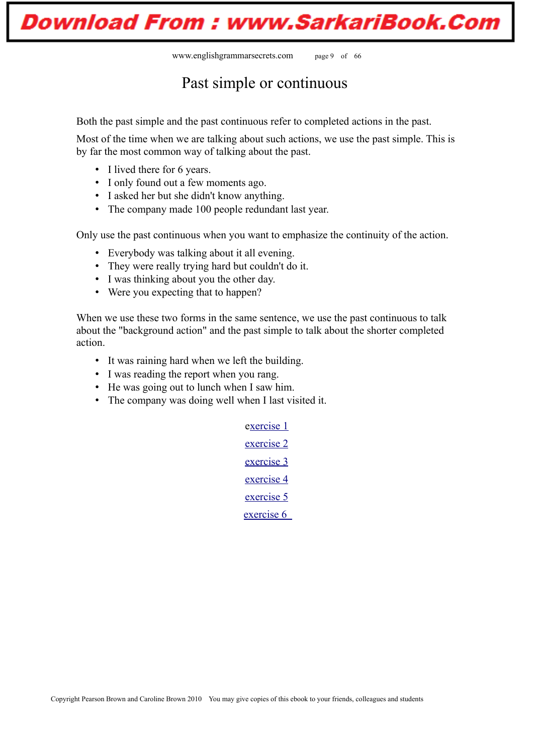www.englishgrammarsecrets.com page 9 of 66

#### Past simple or continuous

Both the past simple and the past continuous refer to completed actions in the past.

Most of the time when we are talking about such actions, we use the past simple. This is by far the most common way of talking about the past.

- I lived there for 6 years.
- I only found out a few moments ago.
- I asked her but she didn't know anything.
- The company made 100 people redundant last year.

Only use the past continuous when you want to emphasize the continuity of the action.

- Everybody was talking about it all evening.
- They were really trying hard but couldn't do it.
- I was thinking about you the other day.
- Were you expecting that to happen?

When we use these two forms in the same sentence, we use the past continuous to talk about the "background action" and the past simple to talk about the shorter completed action.

- It was raining hard when we left the building.
- I was reading the report when you rang.
- He was going out to lunch when I saw him.
- The company was doing well when I last visited it.

[exercise 1](http://englishgrammarsecrets.com/pastsimpleorcontinuous/exercise1.html) [exercise 2](http://englishgrammarsecrets.com/pastsimpleorcontinuous/exercise2.html) [exercise 3](http://englishgrammarsecrets.com/pastsimpleorcontinuous/exercise3.html)

- [exercise 4](http://englishgrammarsecrets.com/pastsimpleorcontinuous/exercise4.html)
- [exercise 5](http://englishgrammarsecrets.com/pastsimpleorcontinuous/exercise5.html)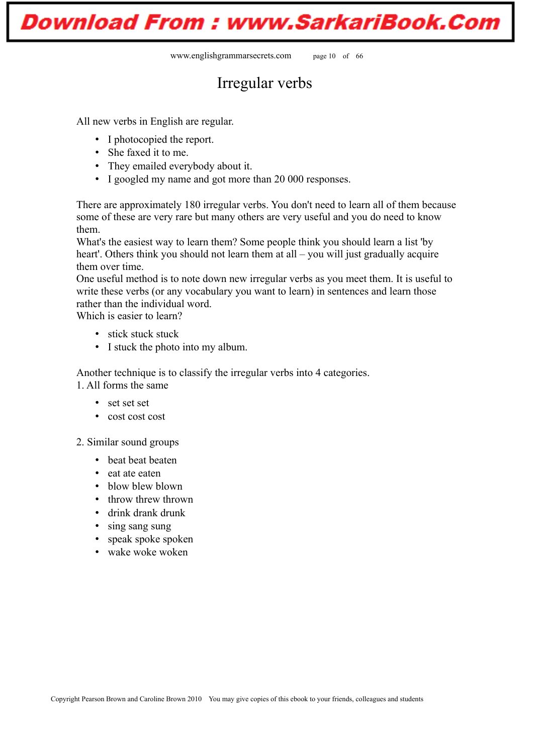www.englishgrammarsecrets.com page 10 of 66

#### Irregular verbs

All new verbs in English are regular.

- I photocopied the report.
- She faxed it to me.
- They emailed everybody about it.
- I googled my name and got more than 20 000 responses.

There are approximately 180 irregular verbs. You don't need to learn all of them because some of these are very rare but many others are very useful and you do need to know them.

What's the easiest way to learn them? Some people think you should learn a list 'by heart'. Others think you should not learn them at all – you will just gradually acquire them over time.

One useful method is to note down new irregular verbs as you meet them. It is useful to write these verbs (or any vocabulary you want to learn) in sentences and learn those rather than the individual word.

Which is easier to learn?

- stick stuck stuck
- I stuck the photo into my album.

Another technique is to classify the irregular verbs into 4 categories.

1. All forms the same

- set set set
- cost cost cost

2. Similar sound groups

- beat beat beaten
- eat ate eaten
- blow blew blown
- throw threw thrown
- drink drank drunk
- sing sang sung
- speak spoke spoken
- wake woke woken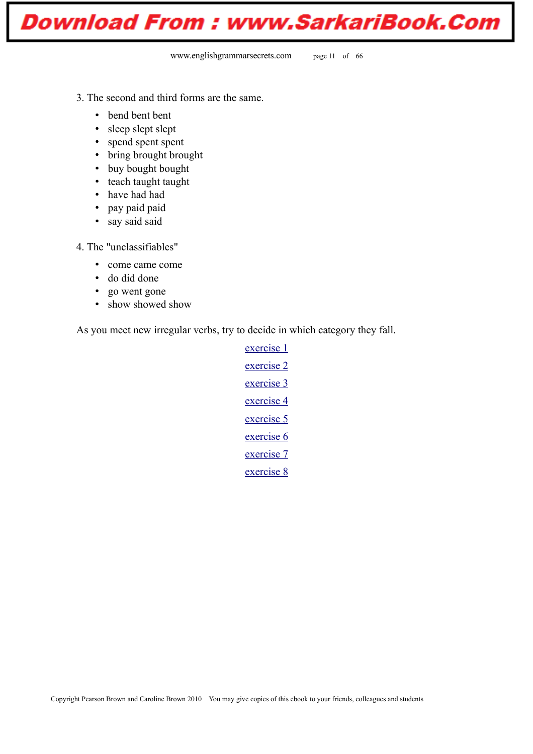www.englishgrammarsecrets.com page 11 of 66

- 3. The second and third forms are the same.
	- bend bent bent
	- sleep slept slept
	- spend spent spent
	- bring brought brought
	- buy bought bought
	- teach taught taught
	- have had had
	- pay paid paid
	- say said said

4. The "unclassifiables"

- come came come
- do did done
- go went gone
- show showed show

As you meet new irregular verbs, try to decide in which category they fall.

[exercise 1](http://englishgrammarsecrets.com/irregularverbs/exercise1.html) [exercise 2](http://englishgrammarsecrets.com/irregularverbs/exercise2.html) [exercise 3](http://englishgrammarsecrets.com/irregularverbs/exercise3.html) [exercise 4](http://englishgrammarsecrets.com/irregularverbs/exercise4.html) [exercise 5](http://englishgrammarsecrets.com/irregularverbs/exercise5.html) [exercise 6](http://englishgrammarsecrets.com/irregularverbs/exercise6.html) [exercise 7](http://englishgrammarsecrets.com/irregularverbs/exercise7.html)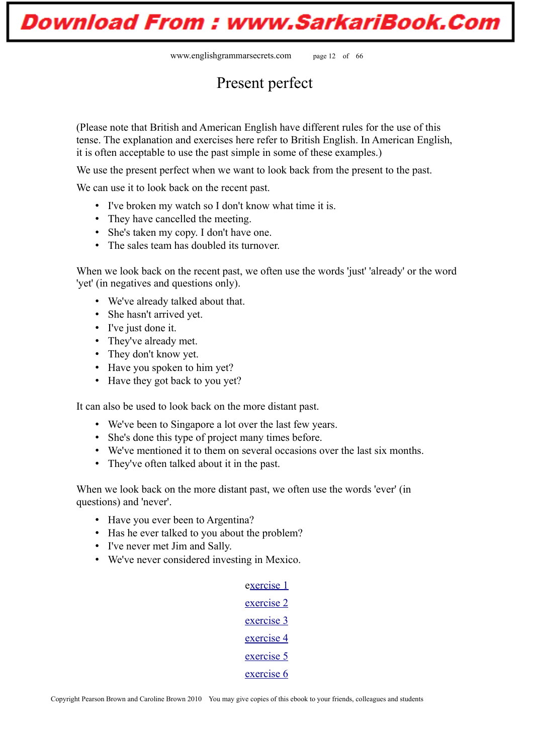www.englishgrammarsecrets.com page 12 of 66

#### Present perfect

(Please note that British and American English have different rules for the use of this tense. The explanation and exercises here refer to British English. In American English, it is often acceptable to use the past simple in some of these examples.)

We use the present perfect when we want to look back from the present to the past.

We can use it to look back on the recent past.

- I've broken my watch so I don't know what time it is.
- They have cancelled the meeting.
- She's taken my copy. I don't have one.
- The sales team has doubled its turnover.

When we look back on the recent past, we often use the words 'just' 'already' or the word 'yet' (in negatives and questions only).

- We've already talked about that.
- She hasn't arrived yet.
- I've just done it.
- They've already met.
- They don't know yet.
- Have you spoken to him yet?
- Have they got back to you yet?

It can also be used to look back on the more distant past.

- We've been to Singapore a lot over the last few years.
- She's done this type of project many times before.
- We've mentioned it to them on several occasions over the last six months.
- They've often talked about it in the past.

When we look back on the more distant past, we often use the words 'ever' (in questions) and 'never'.

- Have you ever been to Argentina?
- Has he ever talked to you about the problem?
- I've never met Jim and Sally.
- We've never considered investing in Mexico.
	- [exercise 1](http://englishgrammarsecrets.com/presentperfect/exercise1.swf) [exercise 2](http://englishgrammarsecrets.com/presentperfect/exercise2.swf) [exercise 3](http://englishgrammarsecrets.com/presentperfect/exercise3.swf) [exercise 4](http://englishgrammarsecrets.com/presentperfect/exercise4.swf) [exercise 5](http://englishgrammarsecrets.com/presentperfect/exercise5.swf) [exercise 6](http://englishgrammarsecrets.com/presentperfect/exercise6.swf)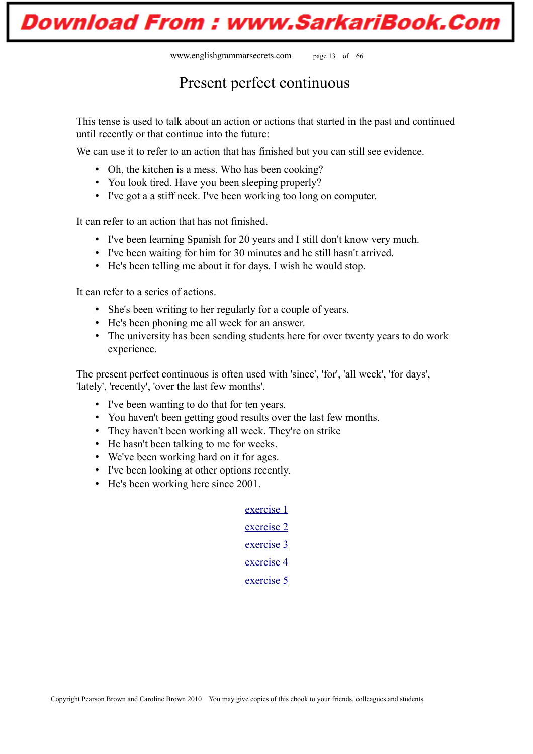www.englishgrammarsecrets.com page 13 of 66

#### Present perfect continuous

This tense is used to talk about an action or actions that started in the past and continued until recently or that continue into the future:

We can use it to refer to an action that has finished but you can still see evidence.

- Oh, the kitchen is a mess. Who has been cooking?
- You look tired. Have you been sleeping properly?
- I've got a a stiff neck. I've been working too long on computer.

It can refer to an action that has not finished.

- I've been learning Spanish for 20 years and I still don't know very much.
- I've been waiting for him for 30 minutes and he still hasn't arrived.
- He's been telling me about it for days. I wish he would stop.

It can refer to a series of actions.

- She's been writing to her regularly for a couple of years.
- He's been phoning me all week for an answer.
- The university has been sending students here for over twenty years to do work experience.

The present perfect continuous is often used with 'since', 'for', 'all week', 'for days', 'lately', 'recently', 'over the last few months'.

- I've been wanting to do that for ten years.
- You haven't been getting good results over the last few months.
- They haven't been working all week. They're on strike
- He hasn't been talking to me for weeks.
- We've been working hard on it for ages.
- I've been looking at other options recently.
- He's been working here since 2001.

[exercise 1](http://englishgrammarsecrets.com/presentperfectcontinuous/exercise1.swf)

[exercise 2](http://englishgrammarsecrets.com/presentperfectcontinuous/exercise2.swf)

[exercise 3](http://englishgrammarsecrets.com/presentperfectcontinuous/exercise3.swf)

[exercise 4](http://englishgrammarsecrets.com/presentperfectcontinuous/exercise4.swf)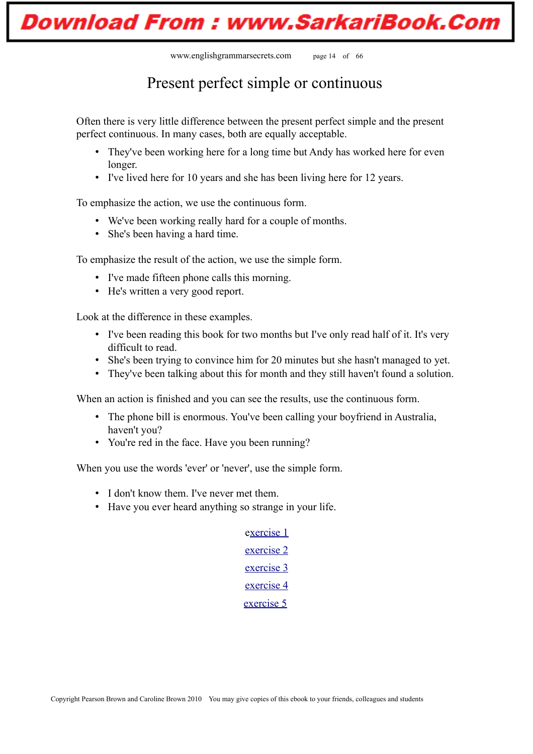www.englishgrammarsecrets.com page 14 of 66

#### Present perfect simple or continuous

Often there is very little difference between the present perfect simple and the present perfect continuous. In many cases, both are equally acceptable.

- They've been working here for a long time but Andy has worked here for even longer.
- I've lived here for 10 years and she has been living here for 12 years.

To emphasize the action, we use the continuous form.

- We've been working really hard for a couple of months.
- She's been having a hard time.

To emphasize the result of the action, we use the simple form.

- I've made fifteen phone calls this morning.
- He's written a very good report.

Look at the difference in these examples.

- I've been reading this book for two months but I've only read half of it. It's very difficult to read.
- She's been trying to convince him for 20 minutes but she hasn't managed to yet.
- They've been talking about this for month and they still haven't found a solution.

When an action is finished and you can see the results, use the continuous form.

- The phone bill is enormous. You've been calling your boyfriend in Australia, haven't you?
- You're red in the face. Have you been running?

When you use the words 'ever' or 'never', use the simple form.

- I don't know them. I've never met them.
- Have you ever heard anything so strange in your life.
	- [exercise 1](http://englishgrammarsecrets.com/presentperfectsimpleorcontinuous/exercise1.swf) [exercise 2](http://englishgrammarsecrets.com/presentperfectsimpleorcontinuous/exercise2.swf) [exercise 3](http://englishgrammarsecrets.com/presentperfectsimpleorcontinuous/exercise3.swf) [exercise 4](http://englishgrammarsecrets.com/presentperfectsimpleorcontinuous/exercise4.swf) [exercise 5](http://englishgrammarsecrets.com/presentperfectsimpleorcontinuous/exercise5.swf)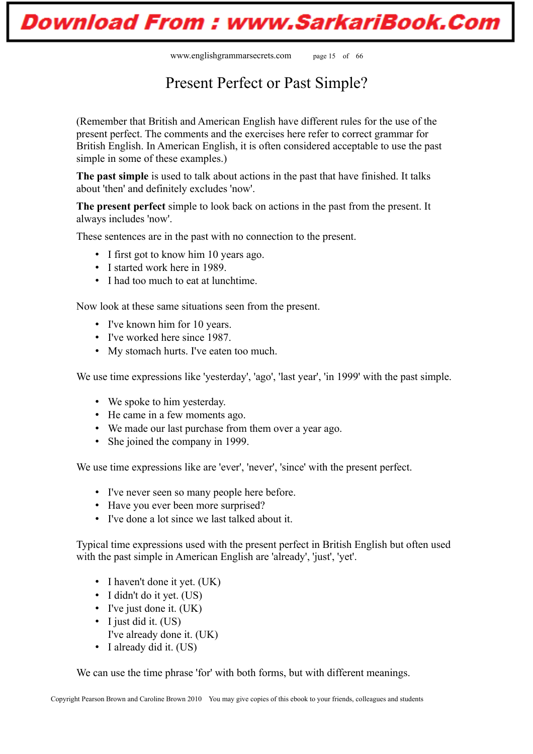www.englishgrammarsecrets.com page 15 of 66

#### Present Perfect or Past Simple?

(Remember that British and American English have different rules for the use of the present perfect. The comments and the exercises here refer to correct grammar for British English. In American English, it is often considered acceptable to use the past simple in some of these examples.)

**The past simple** is used to talk about actions in the past that have finished. It talks about 'then' and definitely excludes 'now'.

**The present perfect** simple to look back on actions in the past from the present. It always includes 'now'.

These sentences are in the past with no connection to the present.

- I first got to know him 10 years ago.
- I started work here in 1989.
- I had too much to eat at lunchtime.

Now look at these same situations seen from the present.

- I've known him for 10 years.
- I've worked here since 1987.
- My stomach hurts. I've eaten too much.

We use time expressions like 'yesterday', 'ago', 'last year', 'in 1999' with the past simple.

- We spoke to him yesterday.
- He came in a few moments ago.
- We made our last purchase from them over a year ago.
- She joined the company in 1999.

We use time expressions like are 'ever', 'never', 'since' with the present perfect.

- I've never seen so many people here before.
- Have you ever been more surprised?
- I've done a lot since we last talked about it.

Typical time expressions used with the present perfect in British English but often used with the past simple in American English are 'already', 'just', 'yet'.

- I haven't done it yet. (UK)
- I didn't do it yet. (US)
- I've just done it. (UK)
- I just did it. (US) I've already done it. (UK)
- I already did it. (US)

We can use the time phrase 'for' with both forms, but with different meanings.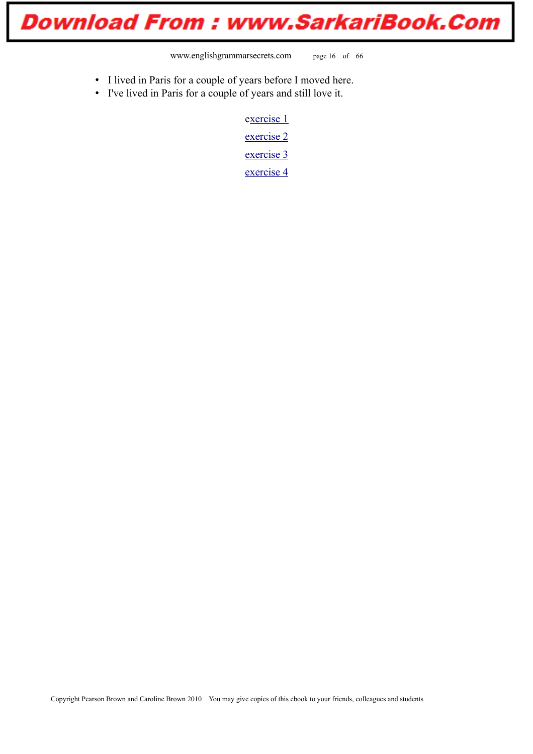www.englishgrammarsecrets.com page 16 of 66

- I lived in Paris for a couple of years before I moved here.
- I've lived in Paris for a couple of years and still love it.

[exercise 1](http://englishgrammarsecrets.com/presentperfectorpastsimple/exercise1.swf) [exercise 2](http://englishgrammarsecrets.com/presentperfectorpastsimple/exercise2.swf) [exercise 3](http://englishgrammarsecrets.com/presentperfectorpastsimple/exercise3.swf) [exercise 4](http://englishgrammarsecrets.com/presentperfectorpastsimple/exercise4.swf)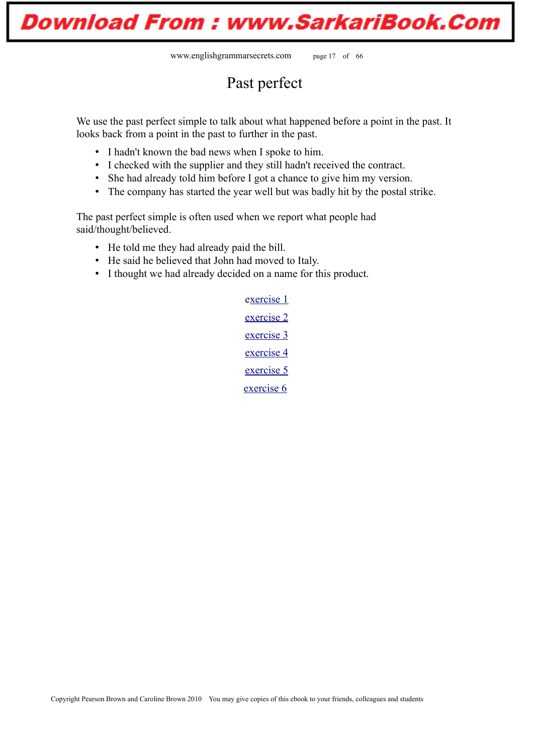www.englishgrammarsecrets.com page 17 of 66

### Past perfect

We use the past perfect simple to talk about what happened before a point in the past. It looks back from a point in the past to further in the past.

- I hadn't known the bad news when I spoke to him.
- I checked with the supplier and they still hadn't received the contract.
- She had already told him before I got a chance to give him my version.
- The company has started the year well but was badly hit by the postal strike.

The past perfect simple is often used when we report what people had said/thought/believed.

- He told me they had already paid the bill.
- He said he believed that John had moved to Italy.
- I thought we had already decided on a name for this product.

[exercise 1](http://englishgrammarsecrets.com/pastperfect/exercise1.html) [exercise 2](http://englishgrammarsecrets.com/pastperfect/exercise2.html) [exercise 3](http://englishgrammarsecrets.com/pastperfect/exercise3.html) [exercise 4](http://englishgrammarsecrets.com/pastperfect/exercise4.html) [exercise 5](http://englishgrammarsecrets.com/pastperfect/exercise5.html) [exercise 6](http://englishgrammarsecrets.com/pastperfect/exercise6.html)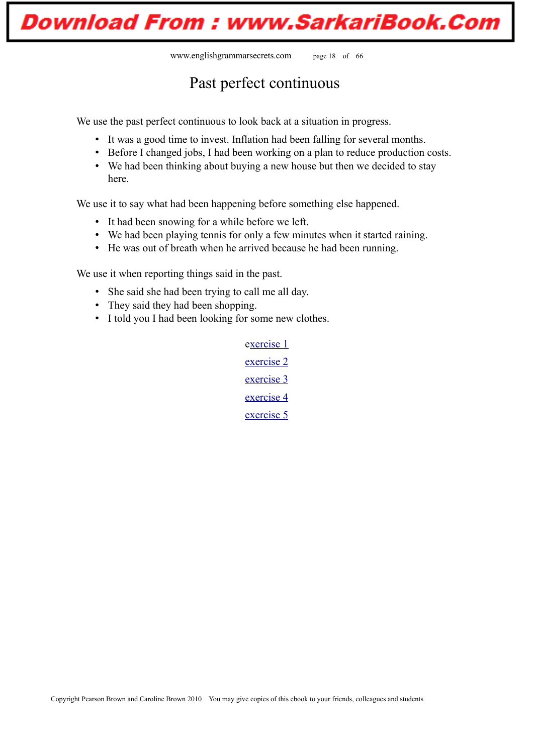www.englishgrammarsecrets.com page 18 of 66

### Past perfect continuous

We use the past perfect continuous to look back at a situation in progress.

- It was a good time to invest. Inflation had been falling for several months.
- Before I changed jobs, I had been working on a plan to reduce production costs.
- We had been thinking about buying a new house but then we decided to stay here.

We use it to say what had been happening before something else happened.

- It had been snowing for a while before we left.
- We had been playing tennis for only a few minutes when it started raining.
- He was out of breath when he arrived because he had been running.

We use it when reporting things said in the past.

- She said she had been trying to call me all day.
- They said they had been shopping.
- I told you I had been looking for some new clothes.

[exercise 1](http://englishgrammarsecrets.com/pastperfectcontinuous/exercise1.html)

[exercise 2](http://englishgrammarsecrets.com/pastperfectcontinuous/exercise2.html)

[exercise 3](http://englishgrammarsecrets.com/pastperfectcontinuous/exercise3.html)

[exercise 4](http://englishgrammarsecrets.com/pastperfectcontinuous/exercise4.html)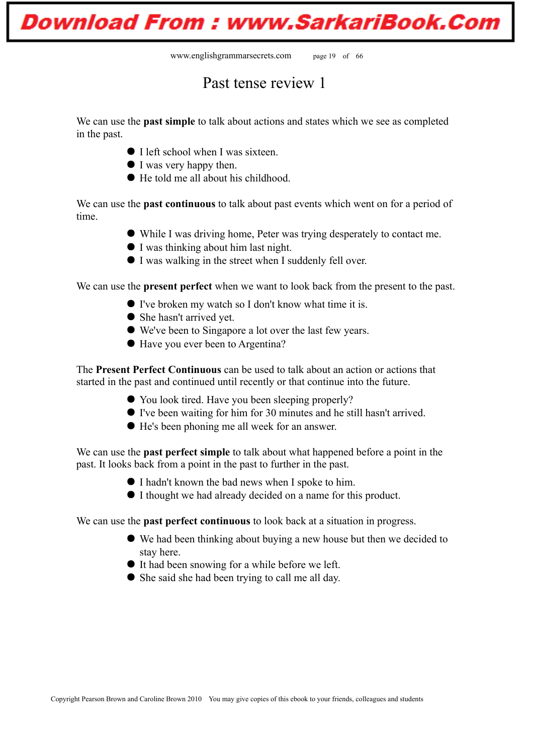www.englishgrammarsecrets.com page 19 of 66

#### Past tense review 1

We can use the **past simple** to talk about actions and states which we see as completed in the past.

- I left school when I was sixteen.
- I was very happy then.
- He told me all about his childhood.

We can use the **past continuous** to talk about past events which went on for a period of time.

- While I was driving home, Peter was trying desperately to contact me.
- I was thinking about him last night.
- I was walking in the street when I suddenly fell over.

We can use the **present perfect** when we want to look back from the present to the past.

- I've broken my watch so I don't know what time it is.
- She hasn't arrived yet.
- We've been to Singapore a lot over the last few years.
- Have you ever been to Argentina?

The **Present Perfect Continuous** can be used to talk about an action or actions that started in the past and continued until recently or that continue into the future.

- You look tired. Have you been sleeping properly?
- I've been waiting for him for 30 minutes and he still hasn't arrived.
- He's been phoning me all week for an answer.

We can use the **past perfect simple** to talk about what happened before a point in the past. It looks back from a point in the past to further in the past.

- I hadn't known the bad news when I spoke to him.
- I thought we had already decided on a name for this product.

We can use the **past perfect continuous** to look back at a situation in progress.

- We had been thinking about buying a new house but then we decided to stay here.
- It had been snowing for a while before we left.
- She said she had been trying to call me all day.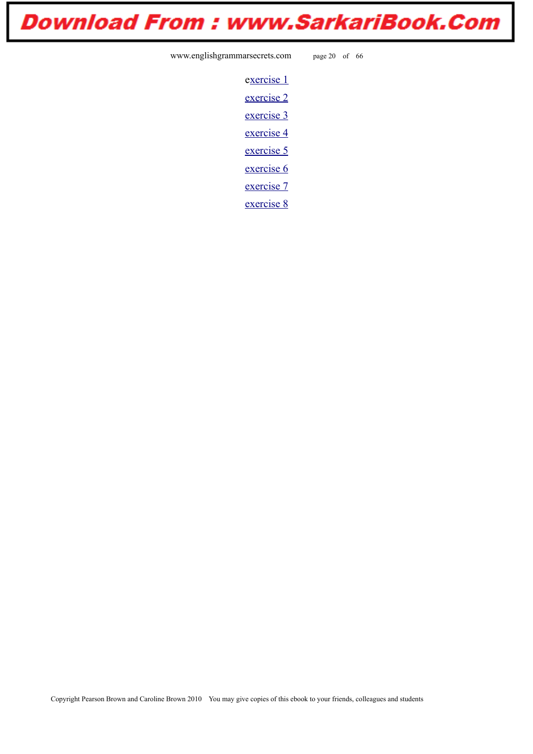www.englishgrammarsecrets.com page 20 of 66

[exercise 1](http://englishgrammarsecrets.com/pastreview1/exercise1.html)

[exercise 2](http://englishgrammarsecrets.com/pastreview1/exercise2.html)

[exercise 3](http://englishgrammarsecrets.com/pastreview1/exercise3.html)

[exercise 4](http://englishgrammarsecrets.com/pastreview1/exercise4.html)

[exercise 5](http://englishgrammarsecrets.com/pastreview1/exercise5.html)

[exercise 6](http://englishgrammarsecrets.com/pastreview1/exercise6.html)

[exercise 7](http://englishgrammarsecrets.com/pastreview1/exercise7.html)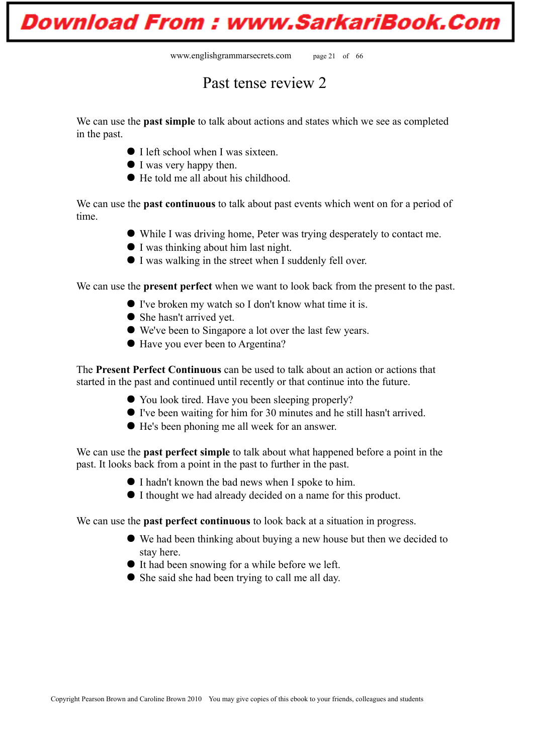www.englishgrammarsecrets.com page 21 of 66

#### Past tense review 2

We can use the **past simple** to talk about actions and states which we see as completed in the past.

- I left school when I was sixteen.
- I was very happy then.
- He told me all about his childhood.

We can use the **past continuous** to talk about past events which went on for a period of time.

- While I was driving home, Peter was trying desperately to contact me.
- I was thinking about him last night.
- I was walking in the street when I suddenly fell over.

We can use the **present perfect** when we want to look back from the present to the past.

- I've broken my watch so I don't know what time it is.
- She hasn't arrived yet.
- We've been to Singapore a lot over the last few years.
- Have you ever been to Argentina?

The **Present Perfect Continuous** can be used to talk about an action or actions that started in the past and continued until recently or that continue into the future.

- You look tired. Have you been sleeping properly?
- I've been waiting for him for 30 minutes and he still hasn't arrived.
- He's been phoning me all week for an answer.

We can use the **past perfect simple** to talk about what happened before a point in the past. It looks back from a point in the past to further in the past.

- I hadn't known the bad news when I spoke to him.
- I thought we had already decided on a name for this product.

We can use the **past perfect continuous** to look back at a situation in progress.

- We had been thinking about buying a new house but then we decided to stay here.
- It had been snowing for a while before we left.
- She said she had been trying to call me all day.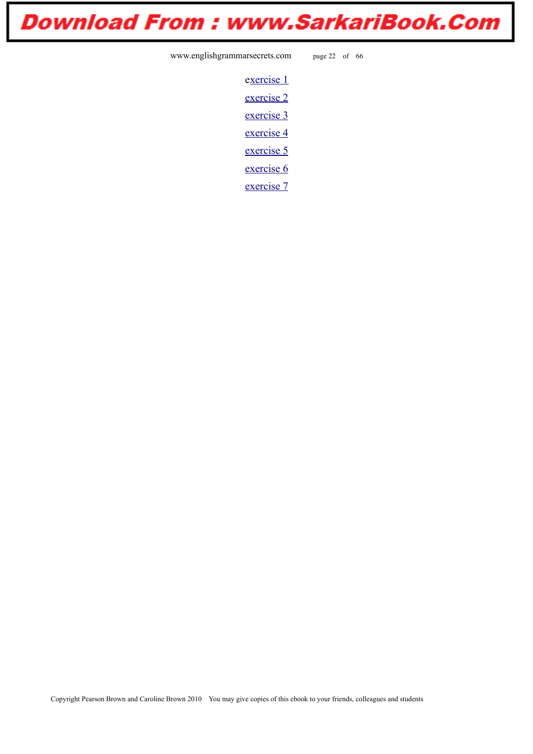www.englishgrammarsecrets.com page 22 of 66

[exercise 1](http://englishgrammarsecrets.com/pastreview2/exercise1.html)

[exercise 2](http://englishgrammarsecrets.com/pastreview2/exercise2.html)

[exercise 3](http://englishgrammarsecrets.com/pastreview2/exercise3.html)

[exercise 4](http://englishgrammarsecrets.com/pastreview2/exercise4.html)

[exercise 5](http://englishgrammarsecrets.com/pastreview2/exercise5.html)

[exercise 6](http://englishgrammarsecrets.com/pastreview2/exercise6.html)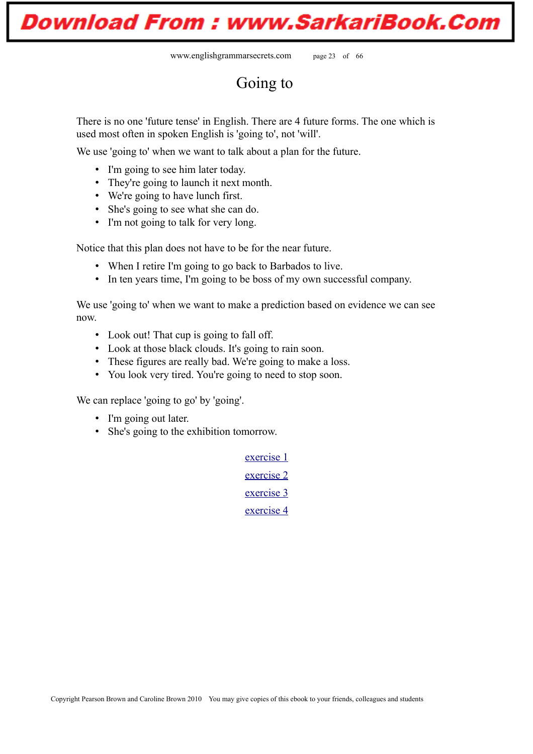www.englishgrammarsecrets.com page 23 of 66

### Going to

There is no one 'future tense' in English. There are 4 future forms. The one which is used most often in spoken English is 'going to', not 'will'.

We use 'going to' when we want to talk about a plan for the future.

- I'm going to see him later today.
- They're going to launch it next month.
- We're going to have lunch first.
- She's going to see what she can do.
- I'm not going to talk for very long.

Notice that this plan does not have to be for the near future.

- When I retire I'm going to go back to Barbados to live.
- In ten years time, I'm going to be boss of my own successful company.

We use 'going to' when we want to make a prediction based on evidence we can see now.

- Look out! That cup is going to fall off.
- Look at those black clouds. It's going to rain soon.
- These figures are really bad. We're going to make a loss.
- You look very tired. You're going to need to stop soon.

We can replace 'going to go' by 'going'.

- I'm going out later.
- She's going to the exhibition tomorrow.

[exercise 1](http://englishgrammarsecrets.com/goingtofuture/exercise1.html)

- [exercise 2](http://englishgrammarsecrets.com/goingtofuture/exercise2.html)
- [exercise 3](http://englishgrammarsecrets.com/goingtofuture/exercise3.html)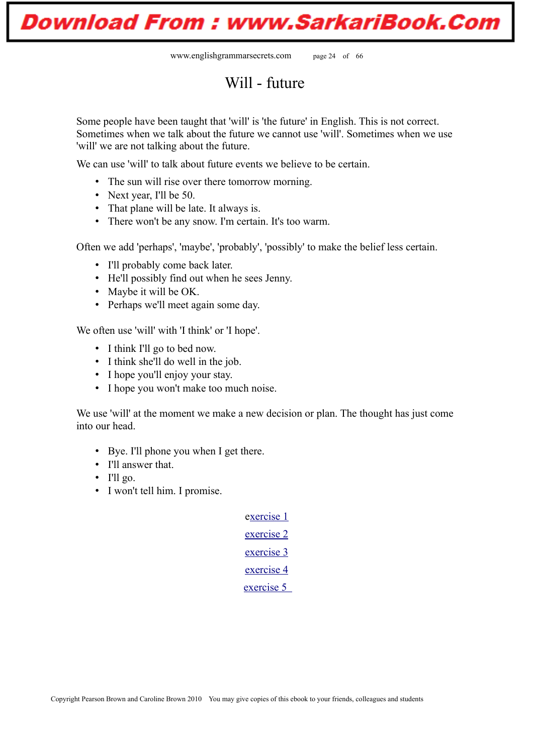www.englishgrammarsecrets.com page 24 of 66

#### Will - future

Some people have been taught that 'will' is 'the future' in English. This is not correct. Sometimes when we talk about the future we cannot use 'will'. Sometimes when we use 'will' we are not talking about the future.

We can use 'will' to talk about future events we believe to be certain.

- The sun will rise over there tomorrow morning.
- Next year, I'll be 50.
- That plane will be late. It always is.
- There won't be any snow. I'm certain. It's too warm.

Often we add 'perhaps', 'maybe', 'probably', 'possibly' to make the belief less certain.

- I'll probably come back later.
- He'll possibly find out when he sees Jenny.
- Maybe it will be OK.
- Perhaps we'll meet again some day.

We often use 'will' with 'I think' or 'I hope'.

- I think I'll go to bed now.
- I think she'll do well in the job.
- I hope you'll enjoy your stay.
- I hope you won't make too much noise.

We use 'will' at the moment we make a new decision or plan. The thought has just come into our head.

- Bye. I'll phone you when I get there.
- I'll answer that.
- $\bullet$  I'll go.
- I won't tell him. I promise.
- [exercise 1](http://englishgrammarsecrets.com/willfuture/exercise1.swf)
- [exercise 2](http://englishgrammarsecrets.com/willfuture/exercise2.swf)
- [exercise 3](http://englishgrammarsecrets.com/willfuture/exercise3.swf)
- [exercise 4](http://englishgrammarsecrets.com/willfuture/exercise4.swf)
- [exercise 5](http://englishgrammarsecrets.com/willfuture/exercise5.swf)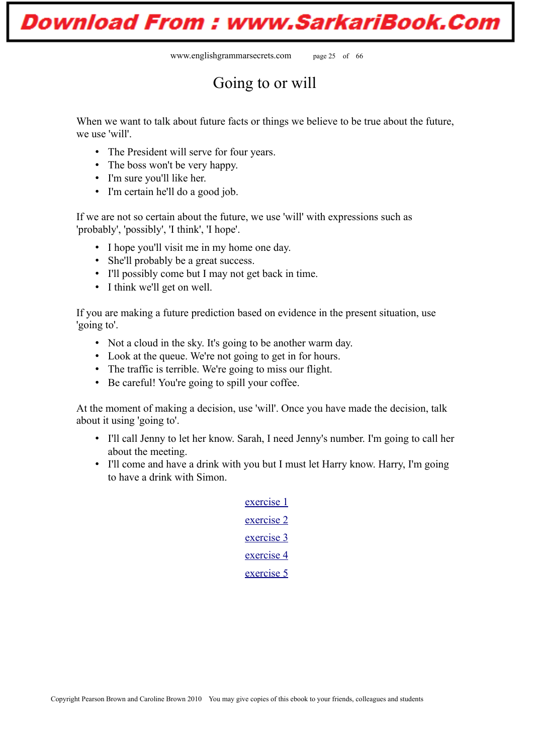www.englishgrammarsecrets.com page 25 of 66

#### Going to or will

When we want to talk about future facts or things we believe to be true about the future, we use 'will'.

- The President will serve for four years.
- The boss won't be very happy.
- I'm sure you'll like her.
- I'm certain he'll do a good job.

If we are not so certain about the future, we use 'will' with expressions such as 'probably', 'possibly', 'I think', 'I hope'.

- I hope you'll visit me in my home one day.
- She'll probably be a great success.
- I'll possibly come but I may not get back in time.
- I think we'll get on well.

If you are making a future prediction based on evidence in the present situation, use 'going to'.

- Not a cloud in the sky. It's going to be another warm day.
- Look at the queue. We're not going to get in for hours.
- The traffic is terrible. We're going to miss our flight.
- Be careful! You're going to spill your coffee.

At the moment of making a decision, use 'will'. Once you have made the decision, talk about it using 'going to'.

- I'll call Jenny to let her know. Sarah, I need Jenny's number. I'm going to call her about the meeting.
- I'll come and have a drink with you but I must let Harry know. Harry, I'm going to have a drink with Simon.
	- [exercise 1](http://englishgrammarsecrets.com/goingtoorwill/exercise1.html) [exercise 2](http://englishgrammarsecrets.com/goingtoorwill/exercise2.html) [exercise 3](http://englishgrammarsecrets.com/goingtoorwill/exercise3.html) [exercise 4](http://englishgrammarsecrets.com/goingtoorwill/exercise4.html) [exercise 5](http://englishgrammarsecrets.com/goingtoorwill/exercise5.html)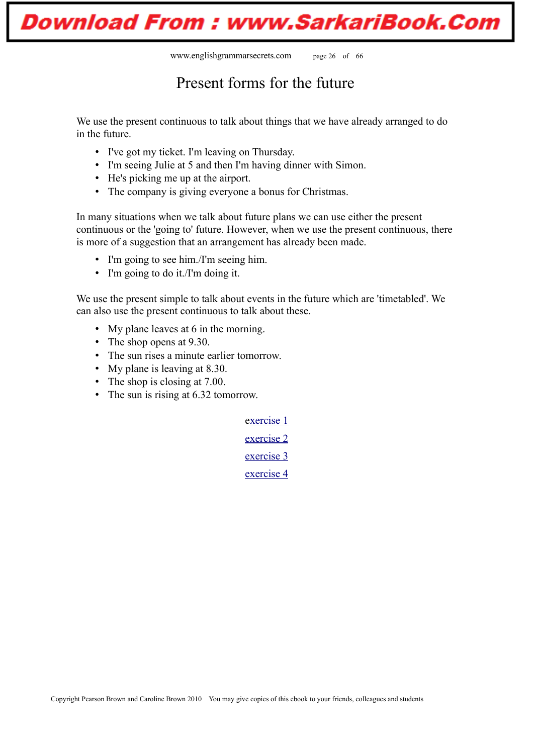www.englishgrammarsecrets.com page 26 of 66

#### Present forms for the future

We use the present continuous to talk about things that we have already arranged to do in the future.

- I've got my ticket. I'm leaving on Thursday.
- I'm seeing Julie at 5 and then I'm having dinner with Simon.
- He's picking me up at the airport.
- The company is giving everyone a bonus for Christmas.

In many situations when we talk about future plans we can use either the present continuous or the 'going to' future. However, when we use the present continuous, there is more of a suggestion that an arrangement has already been made.

- I'm going to see him./I'm seeing him.
- I'm going to do it./I'm doing it.

We use the present simple to talk about events in the future which are 'timetabled'. We can also use the present continuous to talk about these.

- My plane leaves at 6 in the morning.
- The shop opens at 9.30.
- The sun rises a minute earlier tomorrow.
- My plane is leaving at 8.30.
- The shop is closing at 7.00.
- The sun is rising at 6.32 tomorrow.

[exercise 1](http://englishgrammarsecrets.com/presentformsforfuture/exercise1.html)

[exercise 2](http://englishgrammarsecrets.com/presentformsforfuture/exercise2.html)

[exercise 3](http://englishgrammarsecrets.com/presentformsforfuture/exercise3.html)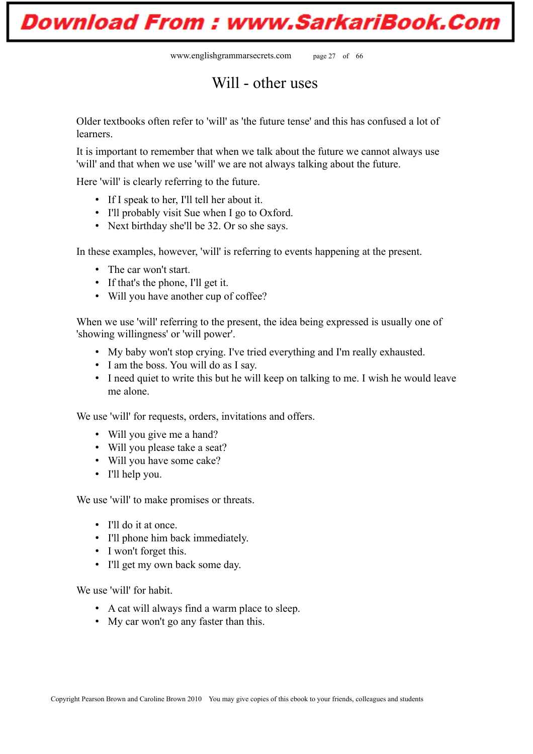www.englishgrammarsecrets.com page 27 of 66

#### Will - other uses

Older textbooks often refer to 'will' as 'the future tense' and this has confused a lot of learners.

It is important to remember that when we talk about the future we cannot always use 'will' and that when we use 'will' we are not always talking about the future.

Here 'will' is clearly referring to the future.

- If I speak to her, I'll tell her about it.
- I'll probably visit Sue when I go to Oxford.
- Next birthday she'll be 32. Or so she says.

In these examples, however, 'will' is referring to events happening at the present.

- The car won't start.
- If that's the phone, I'll get it.
- Will you have another cup of coffee?

When we use 'will' referring to the present, the idea being expressed is usually one of 'showing willingness' or 'will power'.

- My baby won't stop crying. I've tried everything and I'm really exhausted.
- I am the boss. You will do as I say.
- I need quiet to write this but he will keep on talking to me. I wish he would leave me alone.

We use 'will' for requests, orders, invitations and offers.

- Will you give me a hand?
- Will you please take a seat?
- Will you have some cake?
- I'll help you.

We use 'will' to make promises or threats.

- I'll do it at once.
- I'll phone him back immediately.
- I won't forget this.
- I'll get my own back some day.

We use 'will' for habit.

- A cat will always find a warm place to sleep.
- My car won't go any faster than this.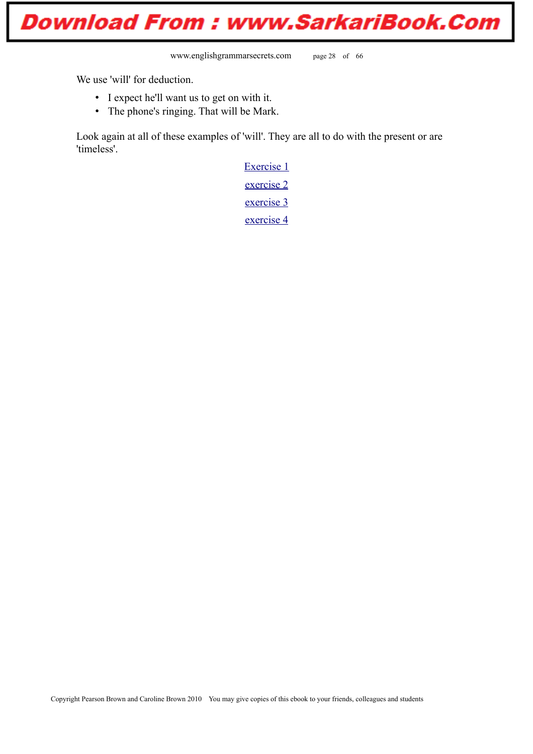www.englishgrammarsecrets.com page 28 of 66

We use 'will' for deduction.

- I expect he'll want us to get on with it.
- The phone's ringing. That will be Mark.

Look again at all of these examples of 'will'. They are all to do with the present or are 'timeless'.

> [Exercise 1](http://englishgrammarsecrets.com/willotheruses/exercise1.swf) [exercise 2](http://englishgrammarsecrets.com/willotheruses/exercise2.swf) [exercise 3](http://englishgrammarsecrets.com/willotheruses/exercise3.swf)

[exercise 4](http://englishgrammarsecrets.com/willotheruses/exercise4.swf)

Copyright Pearson Brown and Caroline Brown 2010 You may give copies of this ebook to your friends, colleagues and students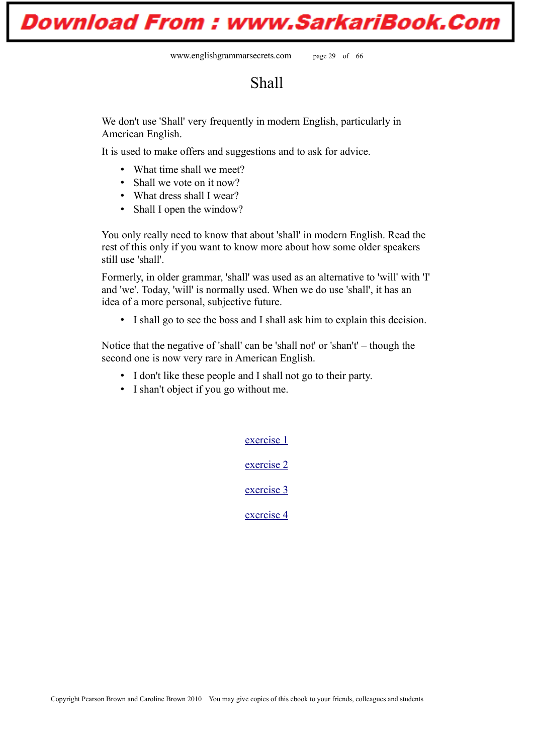www.englishgrammarsecrets.com page 29 of 66

#### Shall

We don't use 'Shall' very frequently in modern English, particularly in American English.

It is used to make offers and suggestions and to ask for advice.

- What time shall we meet?
- Shall we vote on it now?
- What dress shall I wear?
- Shall I open the window?

You only really need to know that about 'shall' in modern English. Read the rest of this only if you want to know more about how some older speakers still use 'shall'.

Formerly, in older grammar, 'shall' was used as an alternative to 'will' with 'I' and 'we'. Today, 'will' is normally used. When we do use 'shall', it has an idea of a more personal, subjective future.

• I shall go to see the boss and I shall ask him to explain this decision.

Notice that the negative of 'shall' can be 'shall not' or 'shan't' – though the second one is now very rare in American English.

- I don't like these people and I shall not go to their party.
- I shan't object if you go without me.

[exercise 1](http://englishgrammarsecrets.com/shall/exercise1.swf)

#### [exercise 2](http://englishgrammarsecrets.com/shall/exercise2.swf)

[exercise 3](http://englishgrammarsecrets.com/shall/exercise3.swf)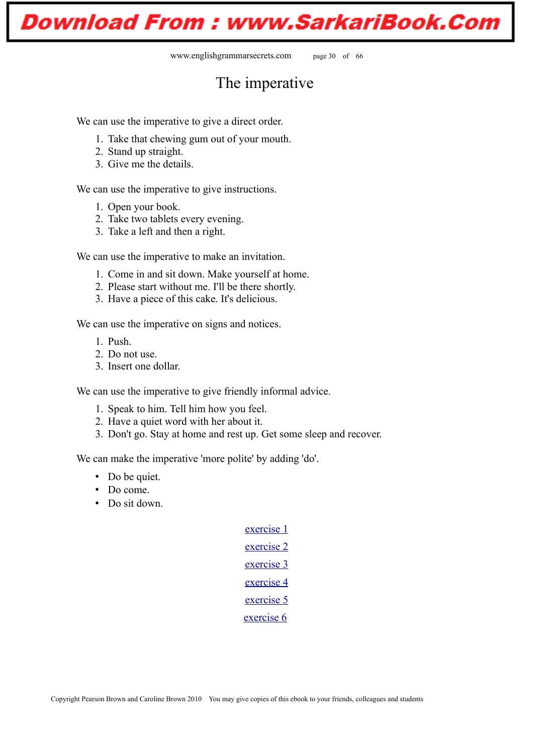www.englishgrammarsecrets.com page 30 of 66

#### The imperative

We can use the imperative to give a direct order.

- 1. Take that chewing gum out of your mouth.
- 2. Stand up straight.
- 3. Give me the details.

We can use the imperative to give instructions.

- 1. Open your book.
- 2. Take two tablets every evening.
- 3. Take a left and then a right.

We can use the imperative to make an invitation.

- 1. Come in and sit down. Make yourself at home.
- 2. Please start without me. I'll be there shortly.
- 3. Have a piece of this cake. It's delicious.

We can use the imperative on signs and notices.

- 1. Push.
- 2. Do not use.
- 3. Insert one dollar.

We can use the imperative to give friendly informal advice.

- 1. Speak to him. Tell him how you feel.
- 2. Have a quiet word with her about it.
- 3. Don't go. Stay at home and rest up. Get some sleep and recover.

We can make the imperative 'more polite' by adding 'do'.

- Do be quiet.
- Do come.
- Do sit down.

- [exercise 1](http://englishgrammarsecrets.com/imperative/exercise1.html)
- [exercise 2](http://englishgrammarsecrets.com/imperative/exercise2.html)
- [exercise 3](http://englishgrammarsecrets.com/imperative/exercise3.html)
- [exercise 4](http://englishgrammarsecrets.com/imperative/exercise4.html)
- [exercise 5](http://englishgrammarsecrets.com/imperative/exercise5.html)
- [exercise 6](http://englishgrammarsecrets.com/imperative/exercise6.html)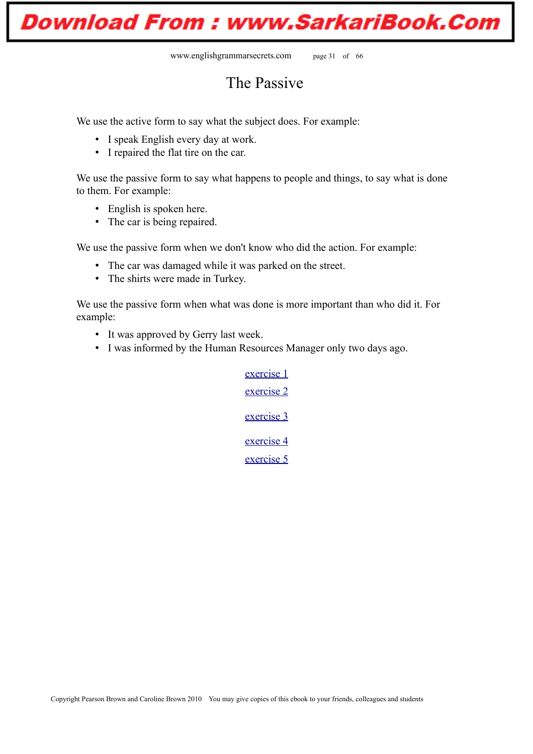www.englishgrammarsecrets.com page 31 of 66

#### The Passive

We use the active form to say what the subject does. For example:

- I speak English every day at work.
- I repaired the flat tire on the car.

We use the passive form to say what happens to people and things, to say what is done to them. For example:

- English is spoken here.
- The car is being repaired.

We use the passive form when we don't know who did the action. For example:

- The car was damaged while it was parked on the street.
- The shirts were made in Turkey.

We use the passive form when what was done is more important than who did it. For example:

- It was approved by Gerry last week.
- I was informed by the Human Resources Manager only two days ago.

[exercise 1](http://englishgrammarsecrets.com/passive/exercise1.html) [exercise 2](http://englishgrammarsecrets.com/passive/exercise2.html) [exercise 3](http://englishgrammarsecrets.com/passive/exercise3.html) [exercise 4](http://englishgrammarsecrets.com/passive/exercise4.html) [exercise 5](http://englishgrammarsecrets.com/passive/exercise5.html)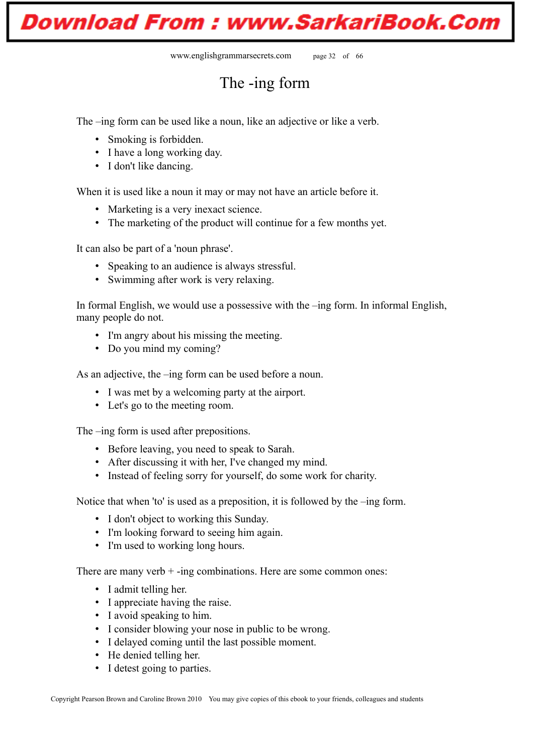www.englishgrammarsecrets.com page 32 of 66

### The -ing form

The –ing form can be used like a noun, like an adjective or like a verb.

- Smoking is forbidden.
- I have a long working day.
- I don't like dancing.

When it is used like a noun it may or may not have an article before it.

- Marketing is a very inexact science.
- The marketing of the product will continue for a few months yet.

It can also be part of a 'noun phrase'.

- Speaking to an audience is always stressful.
- Swimming after work is very relaxing.

In formal English, we would use a possessive with the –ing form. In informal English, many people do not.

- I'm angry about his missing the meeting.
- Do you mind my coming?

As an adjective, the –ing form can be used before a noun.

- I was met by a welcoming party at the airport.
- Let's go to the meeting room.

The –ing form is used after prepositions.

- Before leaving, you need to speak to Sarah.
- After discussing it with her, I've changed my mind.
- Instead of feeling sorry for yourself, do some work for charity.

Notice that when 'to' is used as a preposition, it is followed by the –ing form.

- I don't object to working this Sunday.
- I'm looking forward to seeing him again.
- I'm used to working long hours.

There are many verb  $+$  -ing combinations. Here are some common ones:

- I admit telling her.
- I appreciate having the raise.
- I avoid speaking to him.
- I consider blowing your nose in public to be wrong.
- I delayed coming until the last possible moment.
- He denied telling her.
- I detest going to parties.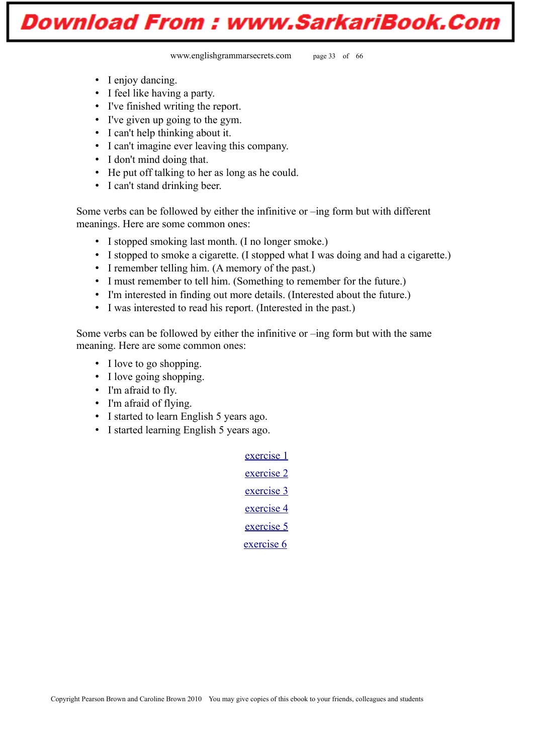www.englishgrammarsecrets.com page 33 of 66

- I enjoy dancing.
- I feel like having a party.
- I've finished writing the report.
- I've given up going to the gym.
- I can't help thinking about it.
- I can't imagine ever leaving this company.
- I don't mind doing that.
- He put off talking to her as long as he could.
- I can't stand drinking beer.

Some verbs can be followed by either the infinitive or –ing form but with different meanings. Here are some common ones:

- I stopped smoking last month. (I no longer smoke.)
- I stopped to smoke a cigarette. (I stopped what I was doing and had a cigarette.)
- I remember telling him. (A memory of the past.)
- I must remember to tell him. (Something to remember for the future.)
- I'm interested in finding out more details. (Interested about the future.)
- I was interested to read his report. (Interested in the past.)

Some verbs can be followed by either the infinitive or –ing form but with the same meaning. Here are some common ones:

- I love to go shopping.
- I love going shopping.
- I'm afraid to fly.
- I'm afraid of flying.
- I started to learn English 5 years ago.
- I started learning English 5 years ago.

- [exercise 2](http://englishgrammarsecrets.com/ingform/exercise2.html)
- [exercise 3](http://englishgrammarsecrets.com/ingform/exercise3.html)
- [exercise 4](http://englishgrammarsecrets.com/ingform/exercise4.html)
- [exercise 5](http://englishgrammarsecrets.com/ingform/exercise5.html)
- [exercise 6](http://englishgrammarsecrets.com/ingform/exercise6.html)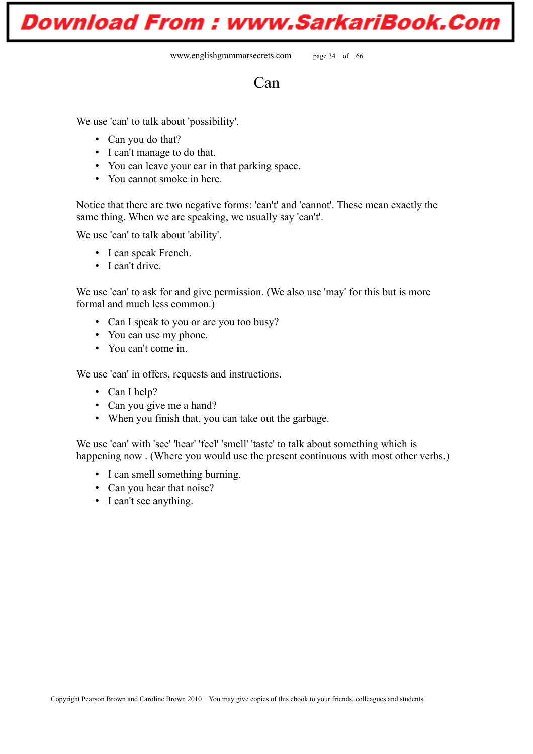www.englishgrammarsecrets.com page 34 of 66

#### Can

We use 'can' to talk about 'possibility'.

- Can you do that?
- I can't manage to do that.
- You can leave your car in that parking space.
- You cannot smoke in here.

Notice that there are two negative forms: 'can't' and 'cannot'. These mean exactly the same thing. When we are speaking, we usually say 'can't'.

We use 'can' to talk about 'ability'.

- I can speak French.
- I can't drive

We use 'can' to ask for and give permission. (We also use 'may' for this but is more formal and much less common.)

- Can I speak to you or are you too busy?
- You can use my phone.
- You can't come in.

We use 'can' in offers, requests and instructions.

- Can I help?
- Can you give me a hand?
- When you finish that, you can take out the garbage.

We use 'can' with 'see' 'hear' 'feel' 'smell' 'taste' to talk about something which is happening now . (Where you would use the present continuous with most other verbs.)

- I can smell something burning.
- Can you hear that noise?
- I can't see anything.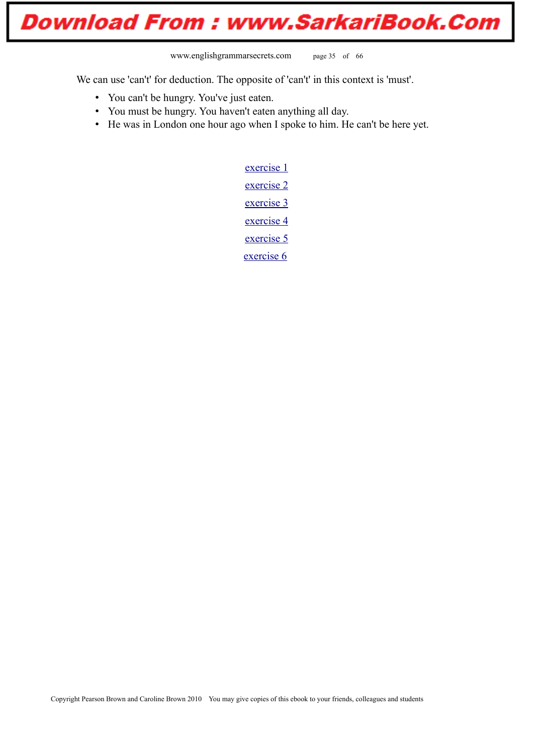www.englishgrammarsecrets.com page 35 of 66

We can use 'can't' for deduction. The opposite of 'can't' in this context is 'must'.

- You can't be hungry. You've just eaten.
- You must be hungry. You haven't eaten anything all day.
- He was in London one hour ago when I spoke to him. He can't be here yet.

[exercise 1](http://englishgrammarsecrets.com/can/exercise1.html) [exercise 2](http://englishgrammarsecrets.com/can/exercise2.html)

[exercise 3](http://englishgrammarsecrets.com/can/exercise3.html)

[exercise 4](http://englishgrammarsecrets.com/can/exercise4.html)

[exercise 5](http://englishgrammarsecrets.com/can/exercise5.html)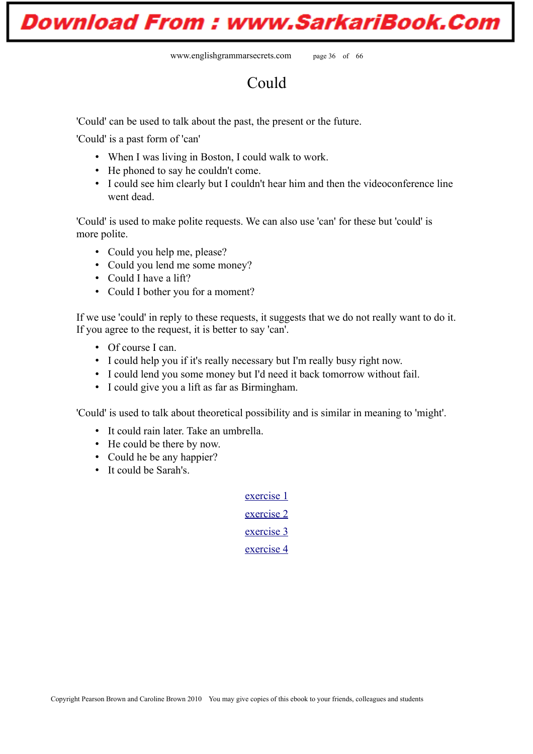www.englishgrammarsecrets.com page 36 of 66

### Could

'Could' can be used to talk about the past, the present or the future.

'Could' is a past form of 'can'

- When I was living in Boston, I could walk to work.
- He phoned to say he couldn't come.
- I could see him clearly but I couldn't hear him and then the videoconference line went dead.

'Could' is used to make polite requests. We can also use 'can' for these but 'could' is more polite.

- Could you help me, please?
- Could you lend me some money?
- Could I have a lift?
- Could I bother you for a moment?

If we use 'could' in reply to these requests, it suggests that we do not really want to do it. If you agree to the request, it is better to say 'can'.

- Of course I can.
- I could help you if it's really necessary but I'm really busy right now.
- I could lend you some money but I'd need it back tomorrow without fail.
- I could give you a lift as far as Birmingham.

'Could' is used to talk about theoretical possibility and is similar in meaning to 'might'.

- It could rain later. Take an umbrella.
- He could be there by now.
- Could he be any happier?
- It could be Sarah's.

[exercise 1](http://englishgrammarsecrets.com/could/exercise1.html) [exercise 2](http://englishgrammarsecrets.com/could/exercise2.html)

[exercise 3](http://englishgrammarsecrets.com/could/exercise3.html)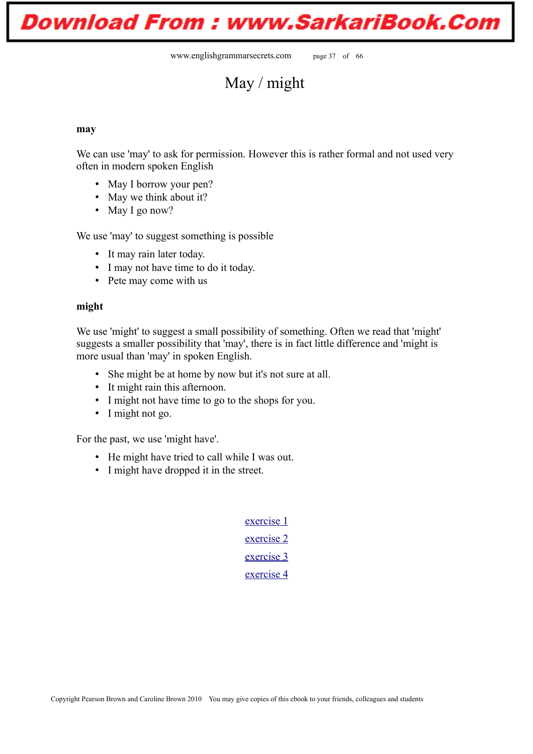www.englishgrammarsecrets.com page 37 of 66

### May / might

#### **may**

We can use 'may' to ask for permission. However this is rather formal and not used very often in modern spoken English

- May I borrow your pen?
- May we think about it?
- May I go now?

We use 'may' to suggest something is possible

- It may rain later today.
- I may not have time to do it today.
- Pete may come with us

#### **might**

We use 'might' to suggest a small possibility of something. Often we read that 'might' suggests a smaller possibility that 'may', there is in fact little difference and 'might is more usual than 'may' in spoken English.

- She might be at home by now but it's not sure at all.
- It might rain this afternoon.
- I might not have time to go to the shops for you.
- I might not go.

For the past, we use 'might have'.

- He might have tried to call while I was out.
- I might have dropped it in the street.

[exercise 1](http://englishgrammarsecrets.com/maymight/exercise1.html)

[exercise 2](http://englishgrammarsecrets.com/maymight/exercise2.html)

[exercise 3](http://englishgrammarsecrets.com/maymight/exercise3.html)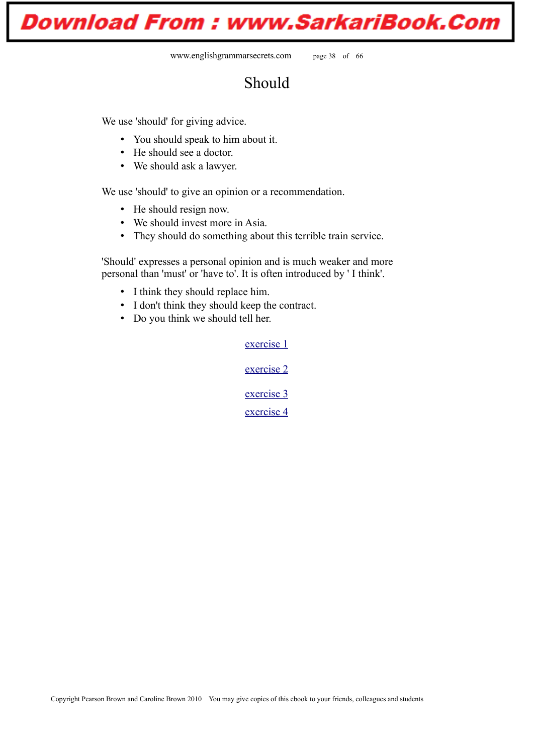www.englishgrammarsecrets.com page 38 of 66

#### Should

We use 'should' for giving advice.

- You should speak to him about it.
- He should see a doctor.
- We should ask a lawyer.

We use 'should' to give an opinion or a recommendation.

- He should resign now.
- We should invest more in Asia.
- They should do something about this terrible train service.

'Should' expresses a personal opinion and is much weaker and more personal than 'must' or 'have to'. It is often introduced by ' I think'.

- I think they should replace him.
- I don't think they should keep the contract.
- Do you think we should tell her.

[exercise 1](http://englishgrammarsecrets.com/should/exercise1.swf)

[exercise 2](http://englishgrammarsecrets.com/should/exercise2.swf)

[exercise 3](http://englishgrammarsecrets.com/should/exercise3.swf)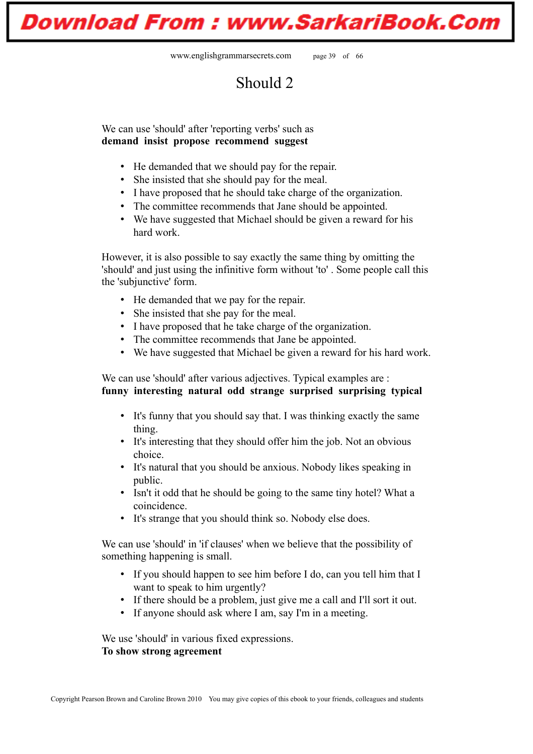www.englishgrammarsecrets.com page 39 of 66

### Should 2

We can use 'should' after 'reporting verbs' such as **demand insist propose recommend suggest**

- He demanded that we should pay for the repair.
- She insisted that she should pay for the meal.
- I have proposed that he should take charge of the organization.
- The committee recommends that Jane should be appointed.
- We have suggested that Michael should be given a reward for his hard work.

However, it is also possible to say exactly the same thing by omitting the 'should' and just using the infinitive form without 'to' . Some people call this the 'subjunctive' form.

- He demanded that we pay for the repair.
- She insisted that she pay for the meal.
- I have proposed that he take charge of the organization.
- The committee recommends that Jane be appointed.
- We have suggested that Michael be given a reward for his hard work.

We can use 'should' after various adjectives. Typical examples are : **funny interesting natural odd strange surprised surprising typical**

- It's funny that you should say that. I was thinking exactly the same thing.
- It's interesting that they should offer him the job. Not an obvious choice.
- It's natural that you should be anxious. Nobody likes speaking in public.
- Isn't it odd that he should be going to the same tiny hotel? What a coincidence.
- It's strange that you should think so. Nobody else does.

We can use 'should' in 'if clauses' when we believe that the possibility of something happening is small.

- If you should happen to see him before I do, can you tell him that I want to speak to him urgently?
- If there should be a problem, just give me a call and I'll sort it out.
- If anyone should ask where I am, say I'm in a meeting.

We use 'should' in various fixed expressions. **To show strong agreement**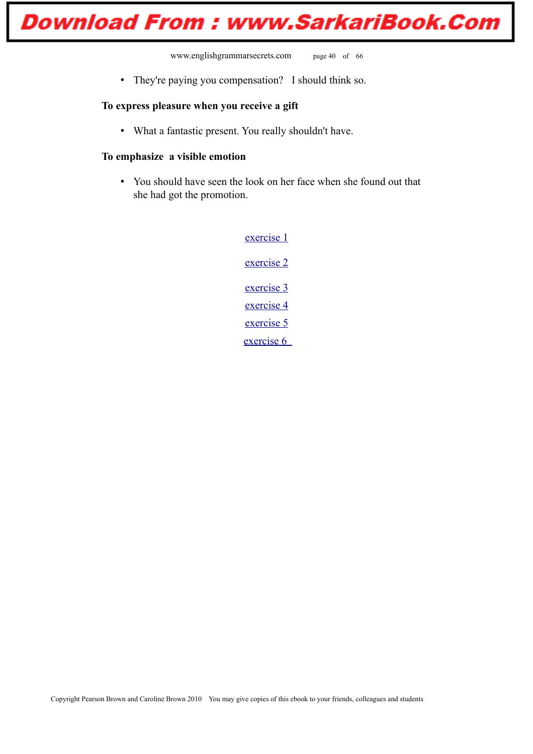www.englishgrammarsecrets.com page 40 of 66

• They're paying you compensation? I should think so.

#### **To express pleasure when you receive a gift**

• What a fantastic present. You really shouldn't have.

#### **To emphasize a visible emotion**

• You should have seen the look on her face when she found out that she had got the promotion.

> [exercise 1](http://englishgrammarsecrets.com/should2/exercise1.swf) [exercise 2](http://englishgrammarsecrets.com/should2/exercise2.swf)

[exercise 3](http://englishgrammarsecrets.com/should2/exercise3.swf)

[exercise 4](http://englishgrammarsecrets.com/should2/exercise4.swf) [exercise 5](http://englishgrammarsecrets.com/should2/exercise5.swf)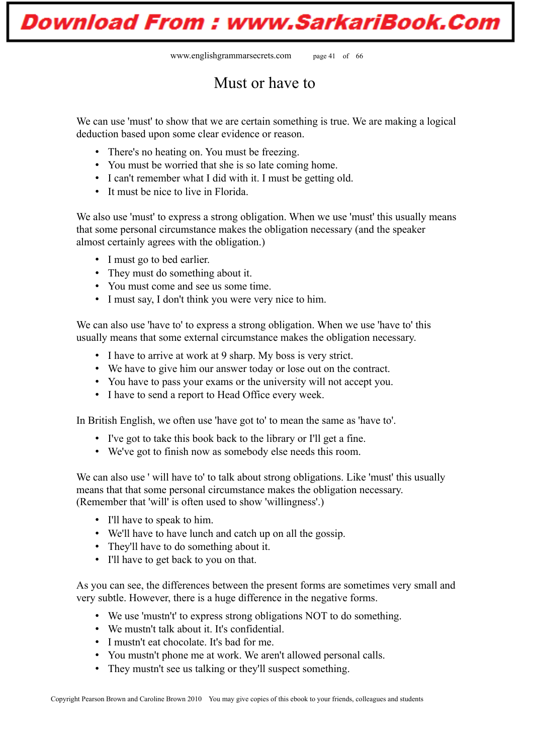www.englishgrammarsecrets.com page 41 of 66

#### Must or have to

We can use 'must' to show that we are certain something is true. We are making a logical deduction based upon some clear evidence or reason.

- There's no heating on. You must be freezing.
- You must be worried that she is so late coming home.
- I can't remember what I did with it. I must be getting old.
- It must be nice to live in Florida.

We also use 'must' to express a strong obligation. When we use 'must' this usually means that some personal circumstance makes the obligation necessary (and the speaker almost certainly agrees with the obligation.)

- I must go to bed earlier.
- They must do something about it.
- You must come and see us some time.
- I must say, I don't think you were very nice to him.

We can also use 'have to' to express a strong obligation. When we use 'have to' this usually means that some external circumstance makes the obligation necessary.

- I have to arrive at work at 9 sharp. My boss is very strict.
- We have to give him our answer today or lose out on the contract.
- You have to pass your exams or the university will not accept you.
- I have to send a report to Head Office every week.

In British English, we often use 'have got to' to mean the same as 'have to'.

- I've got to take this book back to the library or I'll get a fine.
- We've got to finish now as somebody else needs this room.

We can also use ' will have to' to talk about strong obligations. Like 'must' this usually means that that some personal circumstance makes the obligation necessary. (Remember that 'will' is often used to show 'willingness'.)

- I'll have to speak to him.
- We'll have to have lunch and catch up on all the gossip.
- They'll have to do something about it.
- I'll have to get back to you on that.

As you can see, the differences between the present forms are sometimes very small and very subtle. However, there is a huge difference in the negative forms.

- We use 'mustn't' to express strong obligations NOT to do something.
- We mustn't talk about it. It's confidential.
- I mustn't eat chocolate. It's bad for me.
- You mustn't phone me at work. We aren't allowed personal calls.
- They mustn't see us talking or they'll suspect something.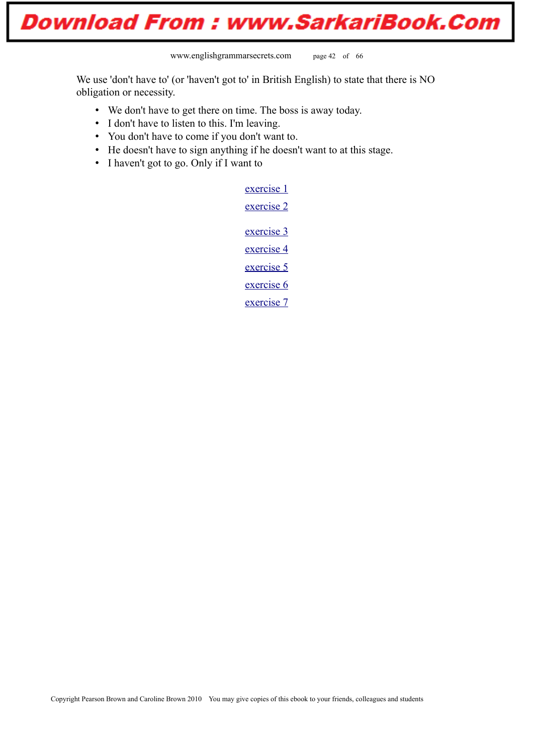www.englishgrammarsecrets.com page 42 of 66

We use 'don't have to' (or 'haven't got to' in British English) to state that there is NO obligation or necessity.

- We don't have to get there on time. The boss is away today.
- I don't have to listen to this. I'm leaving.
- You don't have to come if you don't want to.
- He doesn't have to sign anything if he doesn't want to at this stage.
- I haven't got to go. Only if I want to

#### [exercise 1](http://englishgrammarsecrets.com/musthaveto/exercise1.html)

[exercise 2](http://englishgrammarsecrets.com/musthaveto/exercise2.html)

[exercise 3](http://englishgrammarsecrets.com/musthaveto/exercise3.html)

[exercise 4](http://englishgrammarsecrets.com/musthaveto/exercise4.html)

[exercise 5](http://englishgrammarsecrets.com/musthaveto/exercise5.html)

[exercise 6](http://englishgrammarsecrets.com/musthaveto/exercise6.html)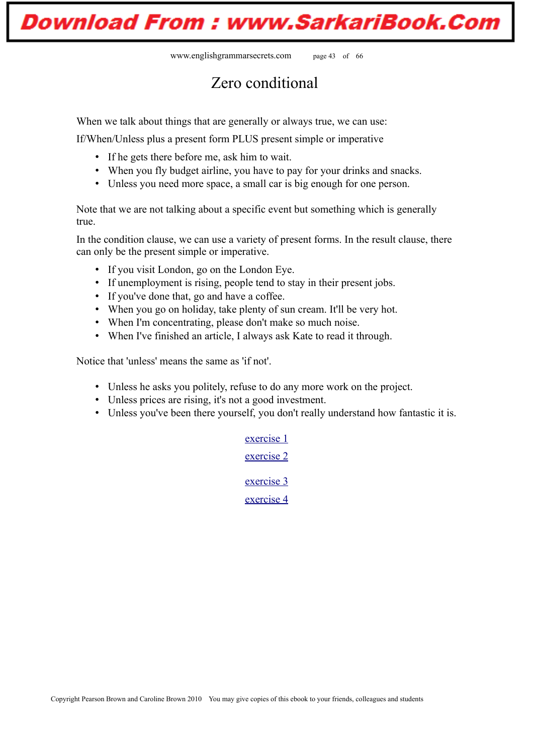www.englishgrammarsecrets.com page 43 of 66

#### Zero conditional

When we talk about things that are generally or always true, we can use:

If/When/Unless plus a present form PLUS present simple or imperative

- If he gets there before me, ask him to wait.
- When you fly budget airline, you have to pay for your drinks and snacks.
- Unless you need more space, a small car is big enough for one person.

Note that we are not talking about a specific event but something which is generally true.

In the condition clause, we can use a variety of present forms. In the result clause, there can only be the present simple or imperative.

- If you visit London, go on the London Eye.
- If unemployment is rising, people tend to stay in their present jobs.
- If you've done that, go and have a coffee.
- When you go on holiday, take plenty of sun cream. It'll be very hot.
- When I'm concentrating, please don't make so much noise.
- When I've finished an article, I always ask Kate to read it through.

Notice that 'unless' means the same as 'if not'.

- Unless he asks you politely, refuse to do any more work on the project.
- Unless prices are rising, it's not a good investment.
- Unless you've been there yourself, you don't really understand how fantastic it is.
	- [exercise 1](http://englishgrammarsecrets.com/type0/exercise1.swf) [exercise 2](http://englishgrammarsecrets.com/type0/exercise2.swf) [exercise 3](http://englishgrammarsecrets.com/type0/exercise3.swf) [exercise 4](http://englishgrammarsecrets.com/type0/exercise4.swf)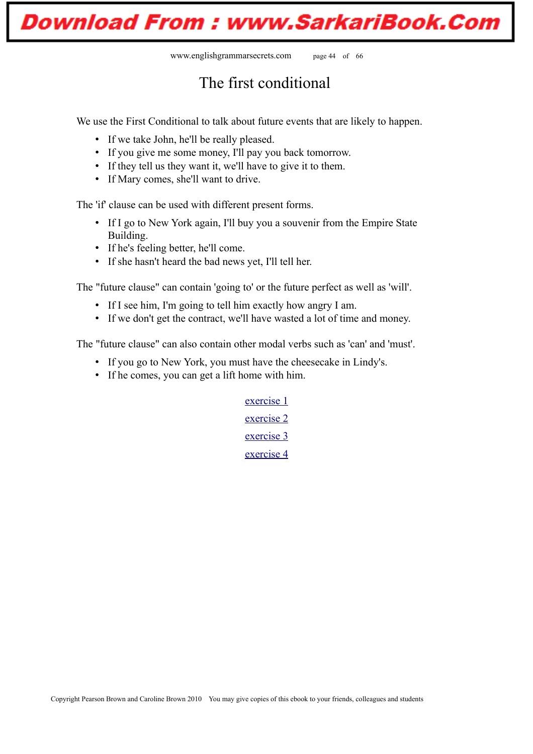www.englishgrammarsecrets.com page 44 of 66

#### The first conditional

We use the First Conditional to talk about future events that are likely to happen.

- If we take John, he'll be really pleased.
- If you give me some money, I'll pay you back tomorrow.
- If they tell us they want it, we'll have to give it to them.
- If Mary comes, she'll want to drive.

The 'if' clause can be used with different present forms.

- If I go to New York again, I'll buy you a souvenir from the Empire State Building.
- If he's feeling better, he'll come.
- If she hasn't heard the bad news yet, I'll tell her.

The "future clause" can contain 'going to' or the future perfect as well as 'will'.

- If I see him, I'm going to tell him exactly how angry I am.
- If we don't get the contract, we'll have wasted a lot of time and money.

The "future clause" can also contain other modal verbs such as 'can' and 'must'.

- If you go to New York, you must have the cheesecake in Lindy's.
- If he comes, you can get a lift home with him.

[exercise 1](http://englishgrammarsecrets.com/firstconditional/exercise1.html) [exercise 2](http://englishgrammarsecrets.com/firstconditional/exercise2.html) [exercise 3](http://englishgrammarsecrets.com/firstconditional/exercise3.html) [exercise 4](http://englishgrammarsecrets.com/firstconditional/exercise4.html)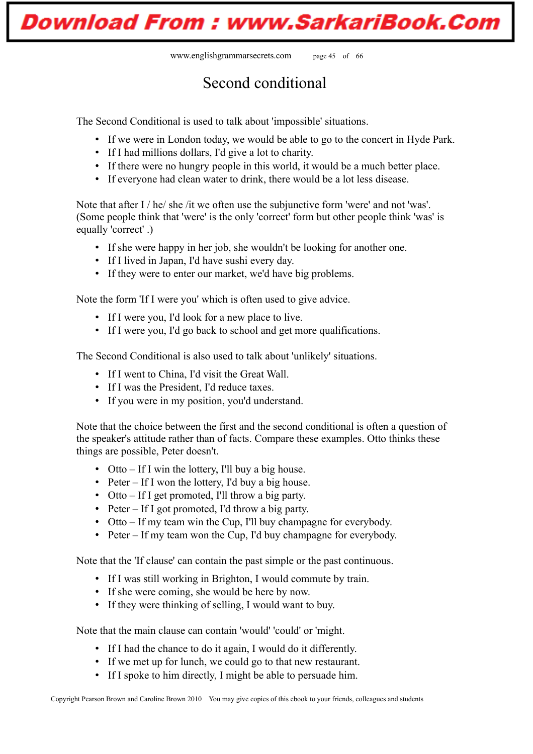www.englishgrammarsecrets.com page 45 of 66

### Second conditional

The Second Conditional is used to talk about 'impossible' situations.

- If we were in London today, we would be able to go to the concert in Hyde Park.
- If I had millions dollars, I'd give a lot to charity.
- If there were no hungry people in this world, it would be a much better place.
- If everyone had clean water to drink, there would be a lot less disease.

Note that after I / he/ she /it we often use the subjunctive form 'were' and not 'was'. (Some people think that 'were' is the only 'correct' form but other people think 'was' is equally 'correct' .)

- If she were happy in her job, she wouldn't be looking for another one.
- If I lived in Japan, I'd have sushi every day.
- If they were to enter our market, we'd have big problems.

Note the form 'If I were you' which is often used to give advice.

- If I were you, I'd look for a new place to live.
- If I were you, I'd go back to school and get more qualifications.

The Second Conditional is also used to talk about 'unlikely' situations.

- If I went to China, I'd visit the Great Wall.
- If I was the President, I'd reduce taxes.
- If you were in my position, you'd understand.

Note that the choice between the first and the second conditional is often a question of the speaker's attitude rather than of facts. Compare these examples. Otto thinks these things are possible, Peter doesn't.

- Otto If I win the lottery, I'll buy a big house.
- Peter If I won the lottery, I'd buy a big house.
- Otto If I get promoted, I'll throw a big party.
- Peter If I got promoted, I'd throw a big party.
- Otto If my team win the Cup, I'll buy champagne for everybody.
- Peter If my team won the Cup, I'd buy champagne for everybody.

Note that the 'If clause' can contain the past simple or the past continuous.

- If I was still working in Brighton, I would commute by train.
- If she were coming, she would be here by now.
- If they were thinking of selling, I would want to buy.

Note that the main clause can contain 'would' 'could' or 'might.

- If I had the chance to do it again, I would do it differently.
- If we met up for lunch, we could go to that new restaurant.
- If I spoke to him directly, I might be able to persuade him.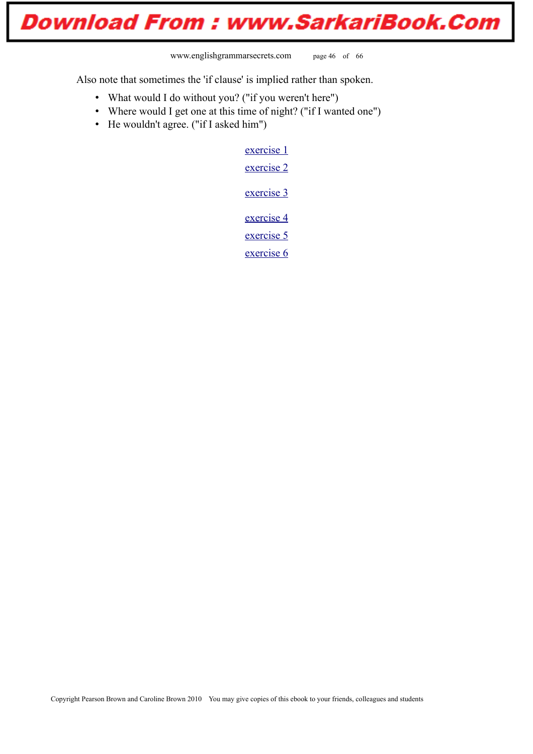www.englishgrammarsecrets.com page 46 of 66

Also note that sometimes the 'if clause' is implied rather than spoken.

- What would I do without you? ("if you weren't here")
- Where would I get one at this time of night? ("if I wanted one")
- He wouldn't agree. ("if I asked him")

[exercise 1](http://englishgrammarsecrets.com/secondconditional/exercise1.swf)

[exercise 2](http://englishgrammarsecrets.com/secondconditional/exercise2.swf)

[exercise 3](http://englishgrammarsecrets.com/secondconditional/exercise3.swf)

[exercise 4](http://englishgrammarsecrets.com/secondconditional/exercise4.swf)

[exercise 5](http://englishgrammarsecrets.com/secondconditional/exercise5.swf)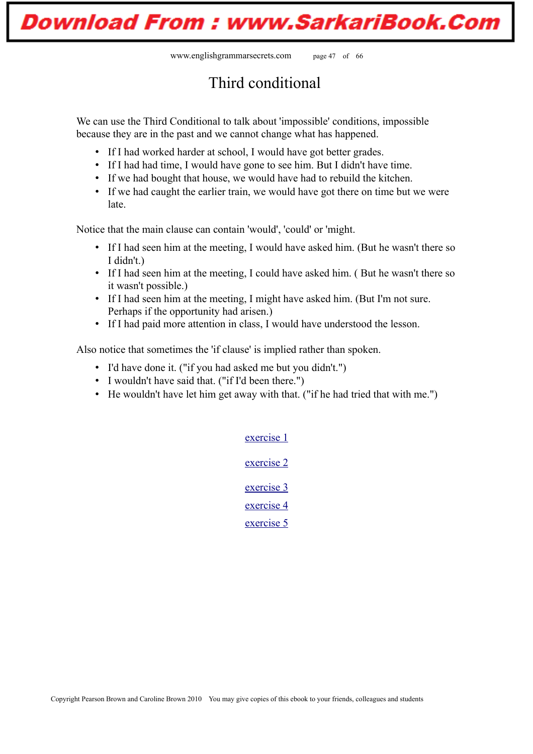www.englishgrammarsecrets.com page 47 of 66

#### Third conditional

We can use the Third Conditional to talk about 'impossible' conditions, impossible because they are in the past and we cannot change what has happened.

- If I had worked harder at school, I would have got better grades.
- If I had had time, I would have gone to see him. But I didn't have time.
- If we had bought that house, we would have had to rebuild the kitchen.
- If we had caught the earlier train, we would have got there on time but we were late.

Notice that the main clause can contain 'would', 'could' or 'might.

- If I had seen him at the meeting, I would have asked him. (But he wasn't there so I didn't.)
- If I had seen him at the meeting, I could have asked him. ( But he wasn't there so it wasn't possible.)
- If I had seen him at the meeting, I might have asked him. (But I'm not sure. Perhaps if the opportunity had arisen.)
- If I had paid more attention in class, I would have understood the lesson.

Also notice that sometimes the 'if clause' is implied rather than spoken.

- I'd have done it. ("if you had asked me but you didn't.")
- I wouldn't have said that. ("if I'd been there.")
- He wouldn't have let him get away with that. ("if he had tried that with me.")

#### [exercise 1](http://englishgrammarsecrets.com/thirdconditional/exercise1.swf)

- [exercise 3](http://englishgrammarsecrets.com/thirdconditional/exercise3.swf)
- [exercise 4](http://englishgrammarsecrets.com/thirdconditional/exercise4.swf)
- [exercise 5](http://englishgrammarsecrets.com/thirdconditional/exercise5.swf)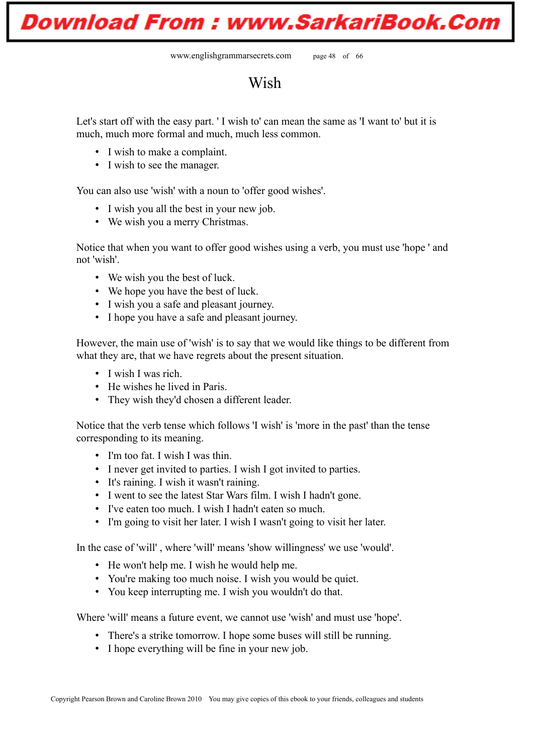www.englishgrammarsecrets.com page 48 of 66

#### Wish

Let's start off with the easy part. ' I wish to' can mean the same as 'I want to' but it is much, much more formal and much, much less common.

- I wish to make a complaint.
- I wish to see the manager.

You can also use 'wish' with a noun to 'offer good wishes'.

- I wish you all the best in your new job.
- We wish you a merry Christmas.

Notice that when you want to offer good wishes using a verb, you must use 'hope ' and not 'wish'.

- We wish you the best of luck.
- We hope you have the best of luck.
- I wish you a safe and pleasant journey.
- I hope you have a safe and pleasant journey.

However, the main use of 'wish' is to say that we would like things to be different from what they are, that we have regrets about the present situation.

- I wish I was rich.
- He wishes he lived in Paris.
- They wish they'd chosen a different leader.

Notice that the verb tense which follows 'I wish' is 'more in the past' than the tense corresponding to its meaning.

- I'm too fat. I wish I was thin.
- I never get invited to parties. I wish I got invited to parties.
- It's raining. I wish it wasn't raining.
- I went to see the latest Star Wars film. I wish I hadn't gone.
- I've eaten too much. I wish I hadn't eaten so much.
- I'm going to visit her later. I wish I wasn't going to visit her later.

In the case of 'will' , where 'will' means 'show willingness' we use 'would'.

- He won't help me. I wish he would help me.
- You're making too much noise. I wish you would be quiet.
- You keep interrupting me. I wish you wouldn't do that.

Where 'will' means a future event, we cannot use 'wish' and must use 'hope'.

- There's a strike tomorrow. I hope some buses will still be running.
- I hope everything will be fine in your new job.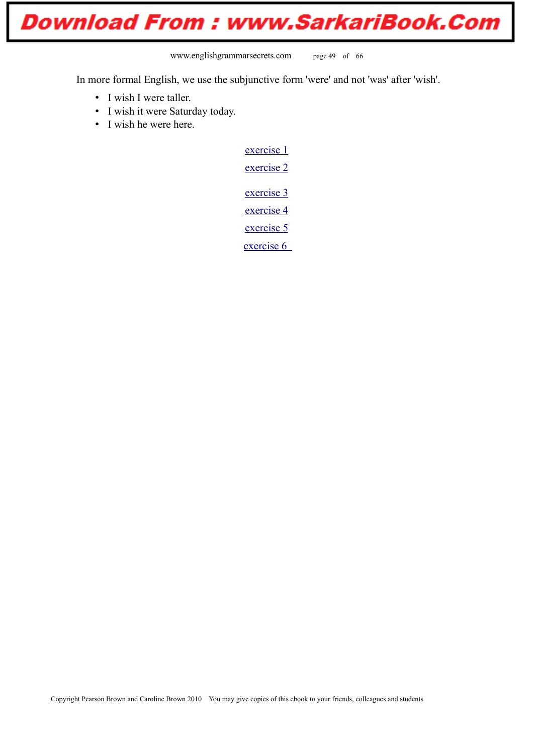www.englishgrammarsecrets.com page 49 of 66

In more formal English, we use the subjunctive form 'were' and not 'was' after 'wish'.

- I wish I were taller.
- I wish it were Saturday today.
- I wish he were here.

[exercise 1](http://englishgrammarsecrets.com/wish/exercise1.swf)

[exercise 2](http://englishgrammarsecrets.com/wish/exercise2.swf)

[exercise 3](http://englishgrammarsecrets.com/wish/exercise3.swf)

[exercise 4](http://englishgrammarsecrets.com/wish/exercise4.swf)

[exercise 5](http://englishgrammarsecrets.com/wish/exercise5.swf)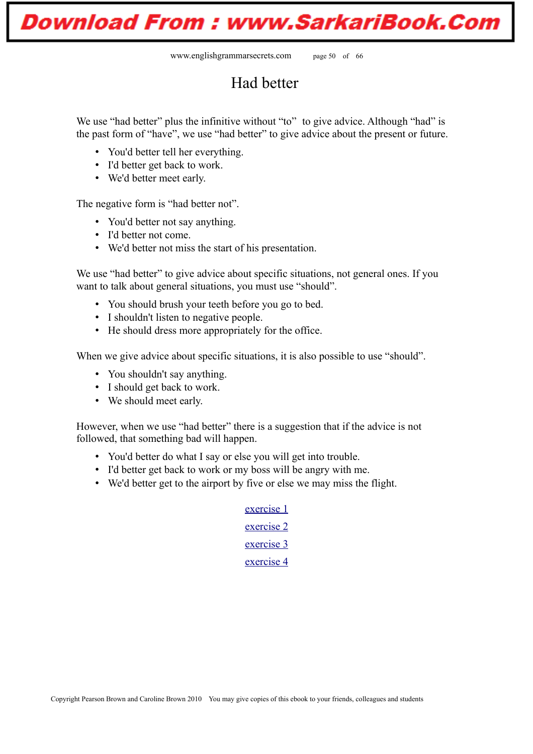www.englishgrammarsecrets.com page 50 of 66

#### Had better

We use "had better" plus the infinitive without "to" to give advice. Although "had" is the past form of "have", we use "had better" to give advice about the present or future.

- You'd better tell her everything.
- I'd better get back to work.
- We'd better meet early.

The negative form is "had better not".

- You'd better not say anything.
- I'd better not come.
- We'd better not miss the start of his presentation.

We use "had better" to give advice about specific situations, not general ones. If you want to talk about general situations, you must use "should".

- You should brush your teeth before you go to bed.
- I shouldn't listen to negative people.
- He should dress more appropriately for the office.

When we give advice about specific situations, it is also possible to use "should".

- You shouldn't say anything.
- I should get back to work.
- We should meet early.

However, when we use "had better" there is a suggestion that if the advice is not followed, that something bad will happen.

- You'd better do what I say or else you will get into trouble.
- I'd better get back to work or my boss will be angry with me.
- We'd better get to the airport by five or else we may miss the flight.

[exercise 1](http://englishgrammarsecrets.com/hadbetter/exercise1.html) [exercise 2](http://englishgrammarsecrets.com/hadbetter/exercise2.html) [exercise 3](http://englishgrammarsecrets.com/hadbetter/exercise3.html) [exercise 4](http://englishgrammarsecrets.com/hadbetter/exercise4.html)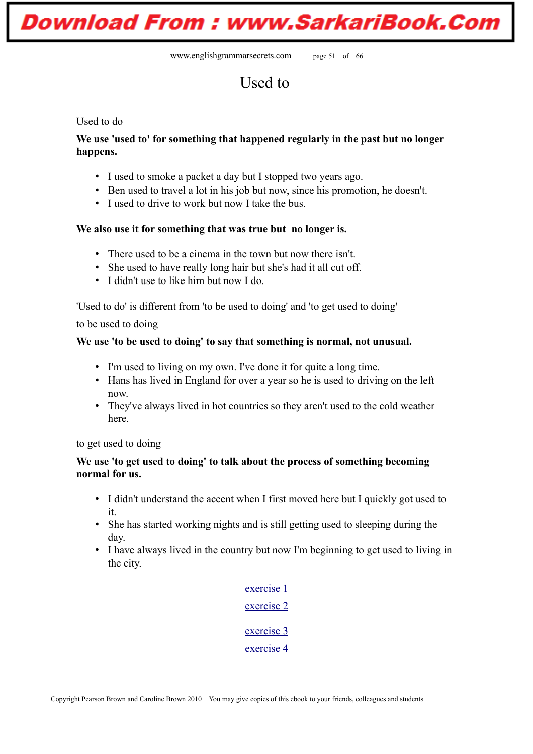www.englishgrammarsecrets.com page 51 of 66

### Used to

Used to do

#### **We use 'used to' for something that happened regularly in the past but no longer happens.**

- I used to smoke a packet a day but I stopped two years ago.
- Ben used to travel a lot in his job but now, since his promotion, he doesn't.
- I used to drive to work but now I take the bus.

#### **We also use it for something that was true but no longer is.**

- There used to be a cinema in the town but now there isn't.
- She used to have really long hair but she's had it all cut off.
- I didn't use to like him but now I do.

'Used to do' is different from 'to be used to doing' and 'to get used to doing'

to be used to doing

#### **We use 'to be used to doing' to say that something is normal, not unusual.**

- I'm used to living on my own. I've done it for quite a long time.
- Hans has lived in England for over a year so he is used to driving on the left now.
- They've always lived in hot countries so they aren't used to the cold weather here.

to get used to doing

#### **We use 'to get used to doing' to talk about the process of something becoming normal for us.**

- I didn't understand the accent when I first moved here but I quickly got used to it.
- She has started working nights and is still getting used to sleeping during the day.
- I have always lived in the country but now I'm beginning to get used to living in the city.

### [exercise 1](http://englishgrammarsecrets.com/usedto/exercise1.swf) [exercise 2](http://englishgrammarsecrets.com/usedto/exercise2.swf) [exercise 3](http://englishgrammarsecrets.com/usedto/exercise3.swf)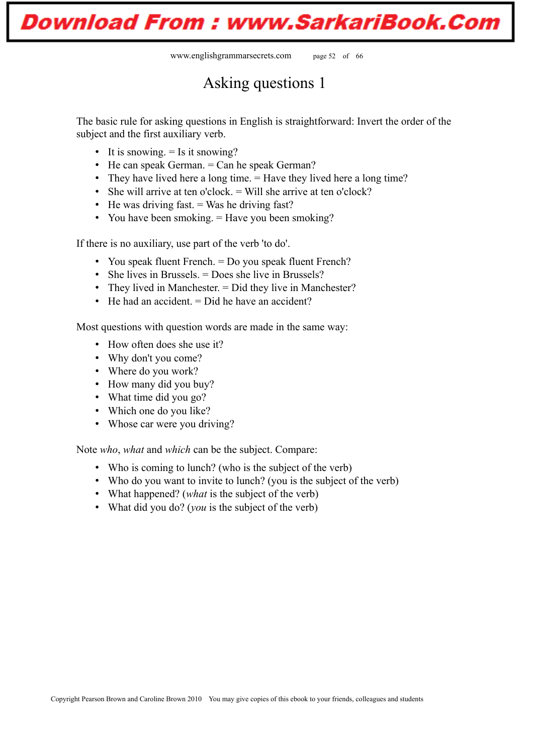www.englishgrammarsecrets.com page 52 of 66

#### Asking questions 1

The basic rule for asking questions in English is straightforward: Invert the order of the subject and the first auxiliary verb.

- It is snowing.  $=$  Is it snowing?
- He can speak German. = Can he speak German?
- They have lived here a long time. = Have they lived here a long time?
- She will arrive at ten o'clock.  $=$  Will she arrive at ten o'clock?
- He was driving fast. = Was he driving fast?
- You have been smoking. = Have you been smoking?

If there is no auxiliary, use part of the verb 'to do'.

- You speak fluent French. = Do you speak fluent French?
- She lives in Brussels. = Does she live in Brussels?
- They lived in Manchester. = Did they live in Manchester?
- He had an accident.  $=$  Did he have an accident?

Most questions with question words are made in the same way:

- How often does she use it?
- Why don't you come?
- Where do you work?
- How many did you buy?
- What time did you go?
- Which one do you like?
- Whose car were you driving?

Note *who*, *what* and *which* can be the subject. Compare:

- Who is coming to lunch? (who is the subject of the verb)
- Who do you want to invite to lunch? (you is the subject of the verb)
- What happened? (*what* is the subject of the verb)
- What did you do? (*you* is the subject of the verb)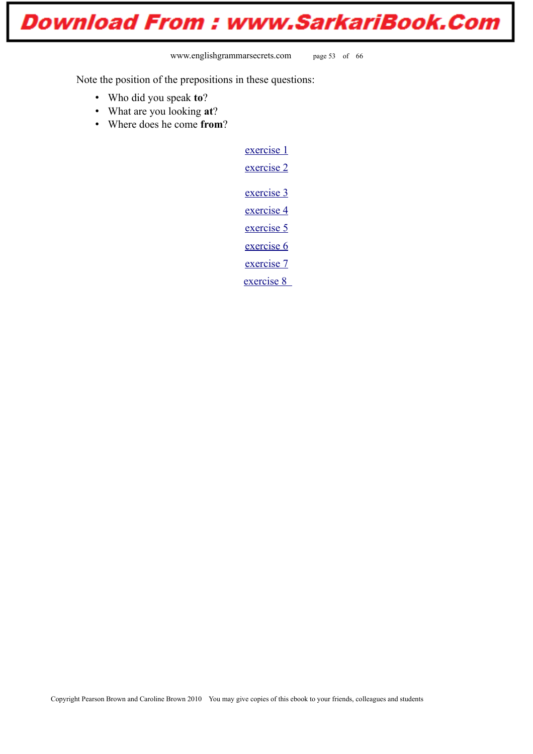www.englishgrammarsecrets.com page 53 of 66

Note the position of the prepositions in these questions:

- Who did you speak **to**?
- What are you looking **at**?
- Where does he come **from**?

[exercise 1](http://englishgrammarsecrets.com/questions1/exercise1.swf)

[exercise 2](http://englishgrammarsecrets.com/questions1/exercise2.swf)

[exercise 3](http://englishgrammarsecrets.com/questions1/exercise3.swf)

[exercise 4](http://englishgrammarsecrets.com/questions1/exercise4.swf)

[exercise 5](http://englishgrammarsecrets.com/questions1/exercise5.swf)

[exercise 6](http://englishgrammarsecrets.com/questions1/exercise6.swf)

exercise<sub>7</sub>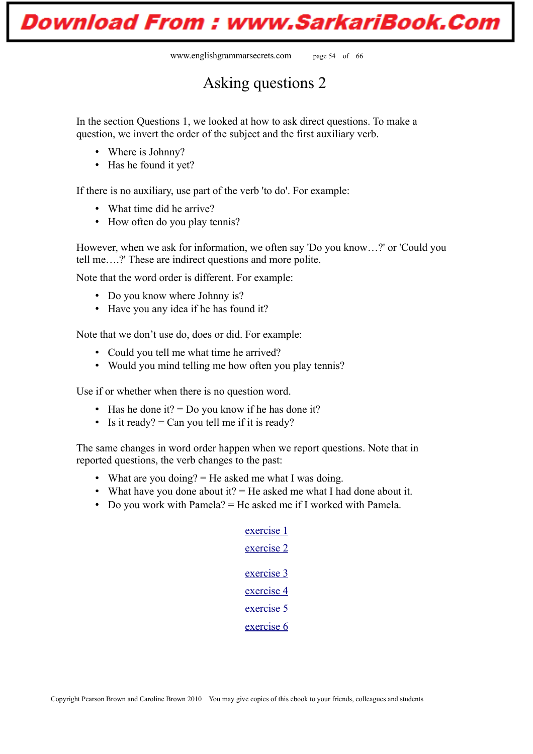www.englishgrammarsecrets.com page 54 of 66

#### Asking questions 2

In the section Questions 1, we looked at how to ask direct questions. To make a question, we invert the order of the subject and the first auxiliary verb.

- Where is Johnny?
- Has he found it yet?

If there is no auxiliary, use part of the verb 'to do'. For example:

- What time did he arrive?
- How often do you play tennis?

However, when we ask for information, we often say 'Do you know…?' or 'Could you tell me….?' These are indirect questions and more polite.

Note that the word order is different. For example:

- Do you know where Johnny is?
- Have you any idea if he has found it?

Note that we don't use do, does or did. For example:

- Could you tell me what time he arrived?
- Would you mind telling me how often you play tennis?

Use if or whether when there is no question word.

- Has he done it? = Do you know if he has done it?
- Is it ready?  $=$  Can you tell me if it is ready?

The same changes in word order happen when we report questions. Note that in reported questions, the verb changes to the past:

- What are you doing?  $=$  He asked me what I was doing.
- What have you done about it?  $=$  He asked me what I had done about it.
- Do you work with Pamela? = He asked me if I worked with Pamela.

[exercise 1](http://englishgrammarsecrets.com/questions2/exercise1.swf) [exercise 2](http://englishgrammarsecrets.com/questions2/exercise2.swf) [exercise 3](http://englishgrammarsecrets.com/questions2/exercise3.swf) [exercise 4](http://englishgrammarsecrets.com/questions2/exercise4.swf) [exercise 5](http://englishgrammarsecrets.com/questions2/exercise5.swf) [exercise 6](http://englishgrammarsecrets.com/questions2/exercise6.swf)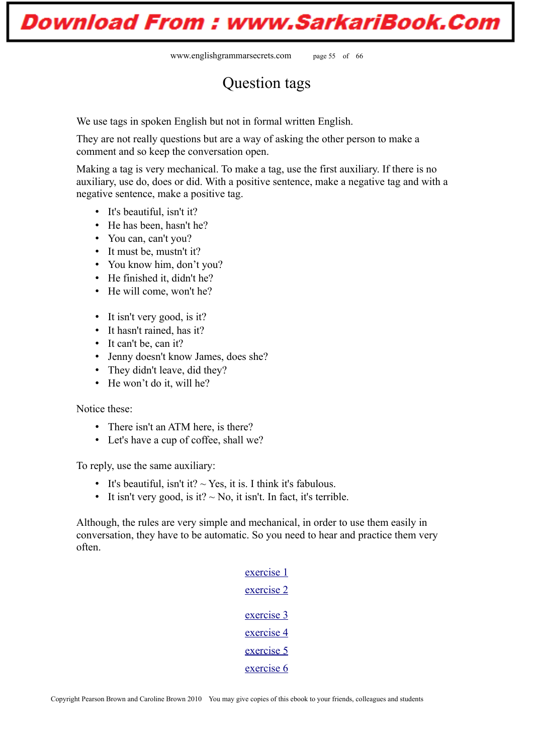www.englishgrammarsecrets.com page 55 of 66

#### Question tags

We use tags in spoken English but not in formal written English.

They are not really questions but are a way of asking the other person to make a comment and so keep the conversation open.

Making a tag is very mechanical. To make a tag, use the first auxiliary. If there is no auxiliary, use do, does or did. With a positive sentence, make a negative tag and with a negative sentence, make a positive tag.

- It's beautiful, isn't it?
- He has been, hasn't he?
- You can, can't you?
- It must be, mustn't it?
- You know him, don't you?
- He finished it, didn't he?
- He will come, won't he?
- It isn't very good, is it?
- It hasn't rained, has it?
- It can't be, can it?
- Jenny doesn't know James, does she?
- They didn't leave, did they?
- He won't do it, will he?

Notice these:

- There isn't an ATM here, is there?
- Let's have a cup of coffee, shall we?

To reply, use the same auxiliary:

- It's beautiful, isn't it?  $\sim$  Yes, it is. I think it's fabulous.
- It isn't very good, is it?  $\sim$  No, it isn't. In fact, it's terrible.

Although, the rules are very simple and mechanical, in order to use them easily in conversation, they have to be automatic. So you need to hear and practice them very often.

| exercise 1 |
|------------|
| exercise 2 |
| exercise 3 |
| exercise 4 |
| exercise 5 |
| exercise 6 |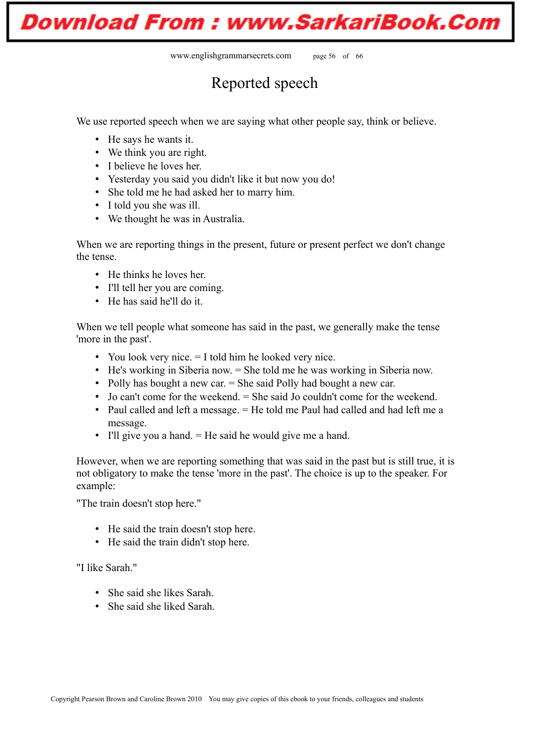www.englishgrammarsecrets.com page 56 of 66

#### Reported speech

We use reported speech when we are saying what other people say, think or believe.

- He says he wants it.
- We think you are right.
- I believe he loves her.
- Yesterday you said you didn't like it but now you do!
- She told me he had asked her to marry him.
- I told you she was ill.
- We thought he was in Australia.

When we are reporting things in the present, future or present perfect we don't change the tense.

- He thinks he loves her.
- I'll tell her you are coming.
- He has said he'll do it.

When we tell people what someone has said in the past, we generally make the tense 'more in the past'.

- You look very nice. = I told him he looked very nice.
- He's working in Siberia now. = She told me he was working in Siberia now.
- Polly has bought a new car. = She said Polly had bought a new car.
- Jo can't come for the weekend. = She said Jo couldn't come for the weekend.
- Paul called and left a message. = He told me Paul had called and had left me a message.
- I'll give you a hand. = He said he would give me a hand.

However, when we are reporting something that was said in the past but is still true, it is not obligatory to make the tense 'more in the past'. The choice is up to the speaker. For example:

"The train doesn't stop here."

- He said the train doesn't stop here.
- He said the train didn't stop here.

"I like Sarah."

- She said she likes Sarah.
- She said she liked Sarah.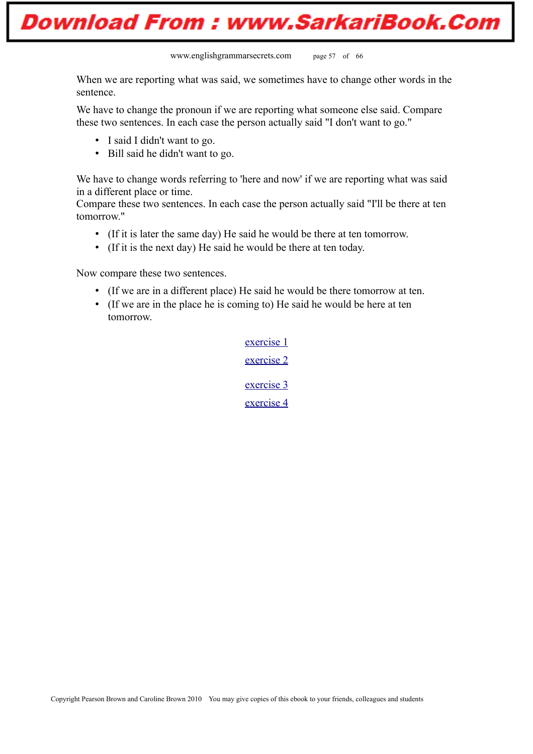www.englishgrammarsecrets.com page 57 of 66

When we are reporting what was said, we sometimes have to change other words in the sentence.

We have to change the pronoun if we are reporting what someone else said. Compare these two sentences. In each case the person actually said "I don't want to go."

- I said I didn't want to go.
- Bill said he didn't want to go.

We have to change words referring to 'here and now' if we are reporting what was said in a different place or time.

Compare these two sentences. In each case the person actually said "I'll be there at ten tomorrow."

- (If it is later the same day) He said he would be there at ten tomorrow.
- (If it is the next day) He said he would be there at ten today.

Now compare these two sentences.

- (If we are in a different place) He said he would be there tomorrow at ten.
- (If we are in the place he is coming to) He said he would be here at ten tomorrow.

[exercise 1](http://englishgrammarsecrets.com/reportedspeech/exercise1.swf) [exercise 2](http://englishgrammarsecrets.com/reportedspeech/exercise2.swf)

[exercise 3](http://englishgrammarsecrets.com/reportedspeech/exercise3.swf)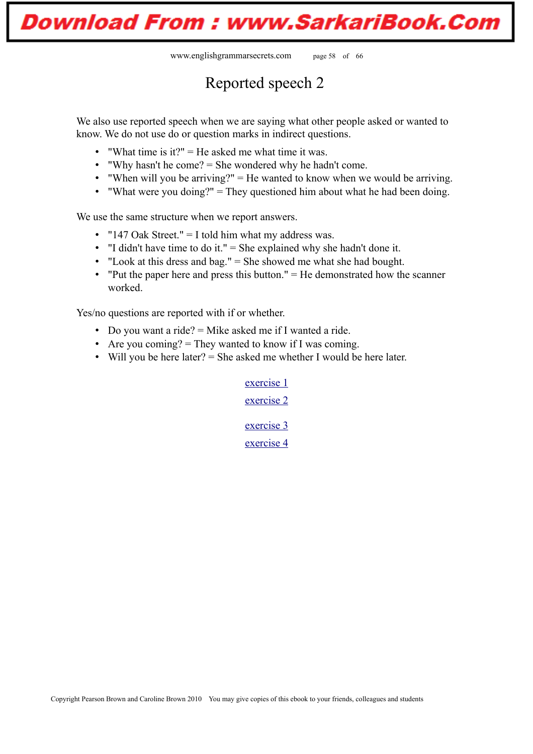www.englishgrammarsecrets.com page 58 of 66

### Reported speech 2

We also use reported speech when we are saying what other people asked or wanted to know. We do not use do or question marks in indirect questions.

- "What time is it?" = He asked me what time it was.
- "Why hasn't he come? = She wondered why he hadn't come.
- "When will you be arriving?" = He wanted to know when we would be arriving.
- "What were you doing?"  $=$  They questioned him about what he had been doing.

We use the same structure when we report answers.

- "147 Oak Street."  $=$  I told him what my address was.
- "I didn't have time to do it." = She explained why she hadn't done it.
- "Look at this dress and bag." = She showed me what she had bought.
- "Put the paper here and press this button."  $=$  He demonstrated how the scanner worked.

Yes/no questions are reported with if or whether.

- Do you want a ride? = Mike asked me if I wanted a ride.
- Are you coming?  $=$  They wanted to know if I was coming.
- Will you be here later? = She asked me whether I would be here later.

[exercise 1](http://englishgrammarsecrets.com/reportedspeech2/exercise1.swf) [exercise 2](http://englishgrammarsecrets.com/reportedspeech2/exercise2.swf) [exercise 3](http://englishgrammarsecrets.com/reportedspeech2/exercise3.swf)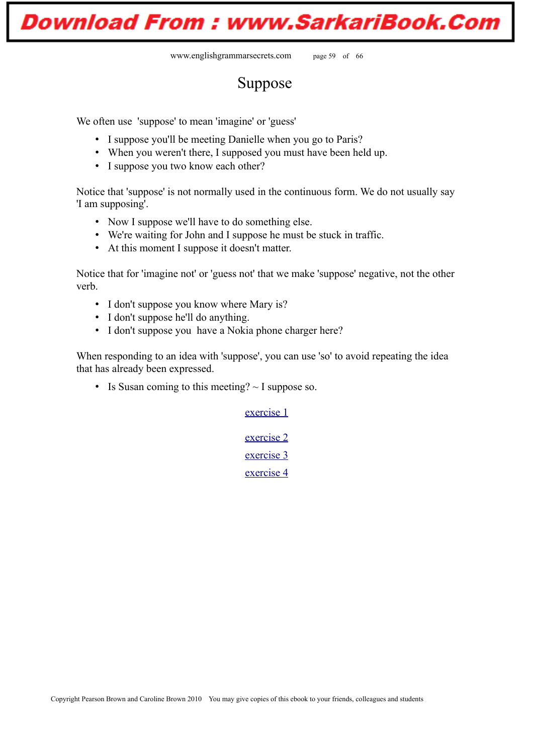www.englishgrammarsecrets.com page 59 of 66

#### Suppose

We often use 'suppose' to mean 'imagine' or 'guess'

- I suppose you'll be meeting Danielle when you go to Paris?
- When you weren't there, I supposed you must have been held up.
- I suppose you two know each other?

Notice that 'suppose' is not normally used in the continuous form. We do not usually say 'I am supposing'.

- Now I suppose we'll have to do something else.
- We're waiting for John and I suppose he must be stuck in traffic.
- At this moment I suppose it doesn't matter.

Notice that for 'imagine not' or 'guess not' that we make 'suppose' negative, not the other verb.

- I don't suppose you know where Mary is?
- I don't suppose he'll do anything.
- I don't suppose you have a Nokia phone charger here?

When responding to an idea with 'suppose', you can use 'so' to avoid repeating the idea that has already been expressed.

• Is Susan coming to this meeting?  $\sim$  I suppose so.

[exercise 1](http://englishgrammarsecrets.com/suppose/exercise1.swf)

[exercise 2](http://englishgrammarsecrets.com/suppose/exercise2.swf)

[exercise 3](http://englishgrammarsecrets.com/suppose/exercise3.swf)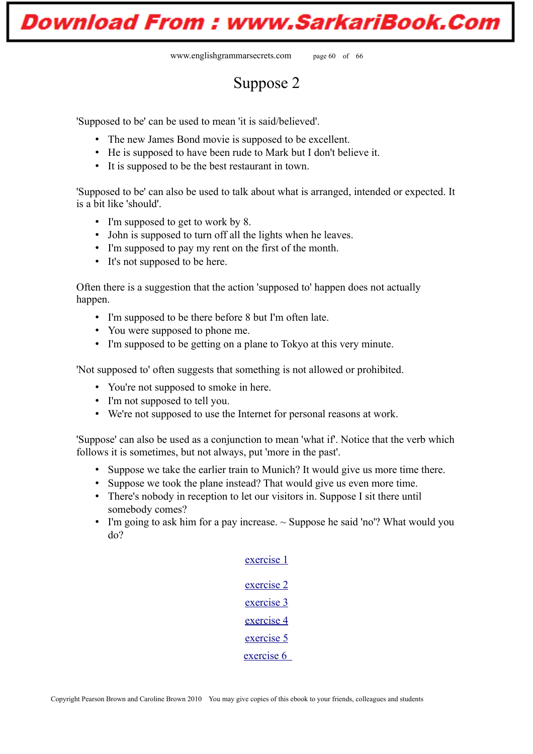www.englishgrammarsecrets.com page 60 of 66

### Suppose 2

'Supposed to be' can be used to mean 'it is said/believed'.

- The new James Bond movie is supposed to be excellent.
- He is supposed to have been rude to Mark but I don't believe it.
- It is supposed to be the best restaurant in town.

'Supposed to be' can also be used to talk about what is arranged, intended or expected. It is a bit like 'should'.

- I'm supposed to get to work by 8.
- John is supposed to turn off all the lights when he leaves.
- I'm supposed to pay my rent on the first of the month.
- It's not supposed to be here.

Often there is a suggestion that the action 'supposed to' happen does not actually happen.

- I'm supposed to be there before 8 but I'm often late.
- You were supposed to phone me.
- I'm supposed to be getting on a plane to Tokyo at this very minute.

'Not supposed to' often suggests that something is not allowed or prohibited.

- You're not supposed to smoke in here.
- I'm not supposed to tell you.
- We're not supposed to use the Internet for personal reasons at work.

'Suppose' can also be used as a conjunction to mean 'what if'. Notice that the verb which follows it is sometimes, but not always, put 'more in the past'.

- Suppose we take the earlier train to Munich? It would give us more time there.
- Suppose we took the plane instead? That would give us even more time.
- There's nobody in reception to let our visitors in. Suppose I sit there until somebody comes?
- I'm going to ask him for a pay increase.  $\sim$  Suppose he said 'no'? What would you do?

| exercise 1 |  |
|------------|--|
| exercise 2 |  |
| exercise 3 |  |
| exercise 4 |  |
| exercise 5 |  |
| exercise 6 |  |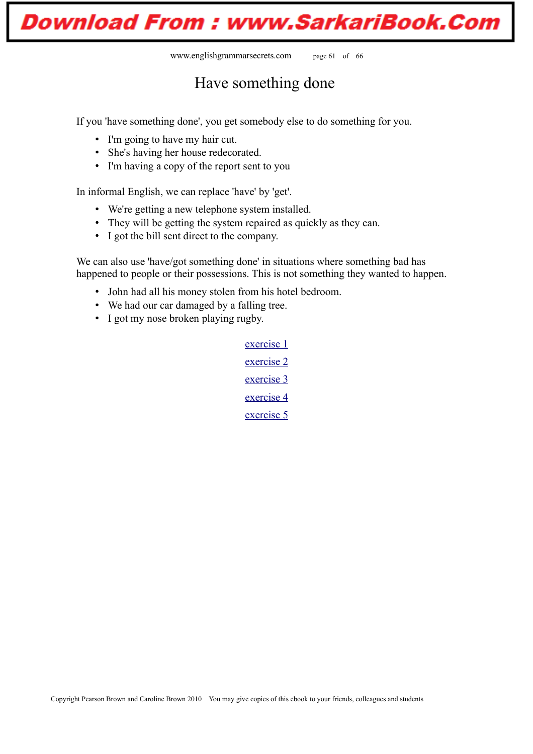www.englishgrammarsecrets.com page 61 of 66

#### Have something done

If you 'have something done', you get somebody else to do something for you.

- I'm going to have my hair cut.
- She's having her house redecorated.
- I'm having a copy of the report sent to you

In informal English, we can replace 'have' by 'get'.

- We're getting a new telephone system installed.
- They will be getting the system repaired as quickly as they can.
- I got the bill sent direct to the company.

We can also use 'have/got something done' in situations where something bad has happened to people or their possessions. This is not something they wanted to happen.

- John had all his money stolen from his hotel bedroom.
- We had our car damaged by a falling tree.
- I got my nose broken playing rugby.

[exercise 1](http://englishgrammarsecrets.com/havesomethingdone/exercise1.html) [exercise 2](http://englishgrammarsecrets.com/havesomethingdone/exercise2.html)

[exercise 3](http://englishgrammarsecrets.com/havesomethingdone/exercise3.html)

[exercise 4](http://englishgrammarsecrets.com/havesomethingdone/exercise4.html)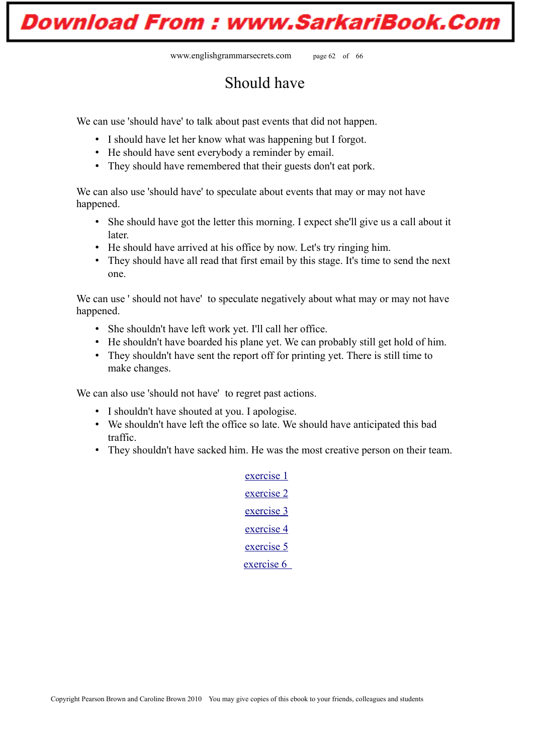www.englishgrammarsecrets.com page 62 of 66

### Should have

We can use 'should have' to talk about past events that did not happen.

- I should have let her know what was happening but I forgot.
- He should have sent everybody a reminder by email.
- They should have remembered that their guests don't eat pork.

We can also use 'should have' to speculate about events that may or may not have happened.

- She should have got the letter this morning. I expect she'll give us a call about it later.
- He should have arrived at his office by now. Let's try ringing him.
- They should have all read that first email by this stage. It's time to send the next one.

We can use ' should not have' to speculate negatively about what may or may not have happened.

- She shouldn't have left work yet. I'll call her office.
- He shouldn't have boarded his plane yet. We can probably still get hold of him.
- They shouldn't have sent the report off for printing yet. There is still time to make changes.

We can also use 'should not have' to regret past actions.

- I shouldn't have shouted at you. I apologise.
- We shouldn't have left the office so late. We should have anticipated this bad traffic.
- They shouldn't have sacked him. He was the most creative person on their team.

[exercise 1](http://englishgrammarsecrets.com/shouldhave/exercise1.swf) [exercise 2](http://englishgrammarsecrets.com/shouldhave/exercise2.swf) [exercise 3](http://englishgrammarsecrets.com/shouldhave/exercise3.swf) [exercise 4](http://englishgrammarsecrets.com/shouldhave/exercise4.swf) [exercise 5](http://englishgrammarsecrets.com/shouldhave/exercise5.swf) [exercise 6](http://englishgrammarsecrets.com/shouldhave/exercise6.swf)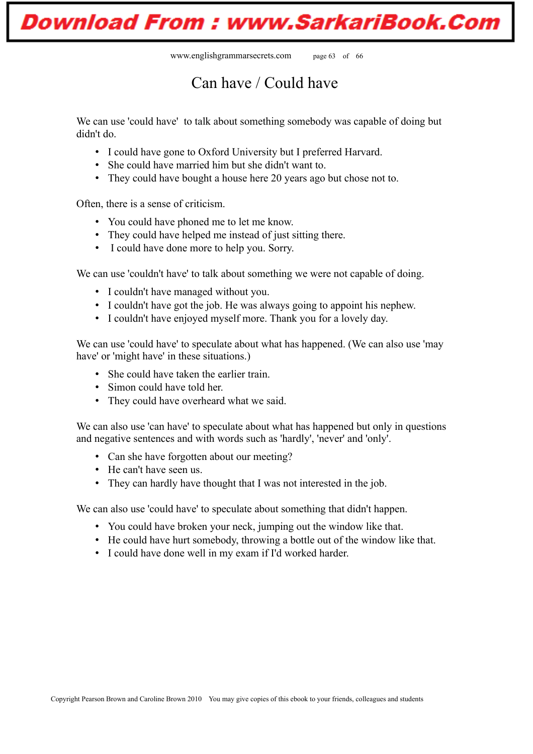www.englishgrammarsecrets.com page 63 of 66

#### Can have / Could have

We can use 'could have' to talk about something somebody was capable of doing but didn't do.

- I could have gone to Oxford University but I preferred Harvard.
- She could have married him but she didn't want to.
- They could have bought a house here 20 years ago but chose not to.

Often, there is a sense of criticism.

- You could have phoned me to let me know.
- They could have helped me instead of just sitting there.
- I could have done more to help you. Sorry.

We can use 'couldn't have' to talk about something we were not capable of doing.

- I couldn't have managed without you.
- I couldn't have got the job. He was always going to appoint his nephew.
- I couldn't have enjoyed myself more. Thank you for a lovely day.

We can use 'could have' to speculate about what has happened. (We can also use 'may have' or 'might have' in these situations.)

- She could have taken the earlier train.
- Simon could have told her
- They could have overheard what we said.

We can also use 'can have' to speculate about what has happened but only in questions and negative sentences and with words such as 'hardly', 'never' and 'only'.

- Can she have forgotten about our meeting?
- He can't have seen us.
- They can hardly have thought that I was not interested in the job.

We can also use 'could have' to speculate about something that didn't happen.

- You could have broken your neck, jumping out the window like that.
- He could have hurt somebody, throwing a bottle out of the window like that.
- I could have done well in my exam if I'd worked harder.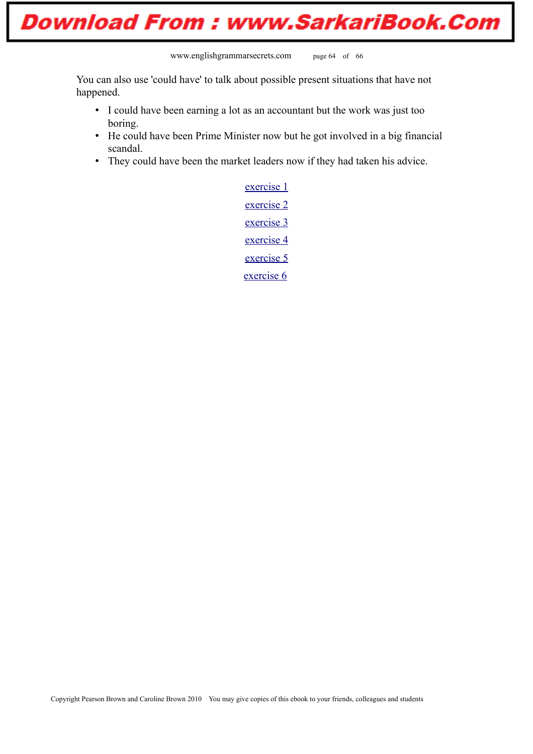www.englishgrammarsecrets.com page 64 of 66

You can also use 'could have' to talk about possible present situations that have not happened.

- I could have been earning a lot as an accountant but the work was just too boring.
- He could have been Prime Minister now but he got involved in a big financial scandal.
- They could have been the market leaders now if they had taken his advice.
	- [exercise 1](http://englishgrammarsecrets.com/couldhave/exercise1.html) [exercise 2](http://englishgrammarsecrets.com/couldhave/exercise2.html) [exercise 3](http://englishgrammarsecrets.com/couldhave/exercise3.html) [exercise 4](http://englishgrammarsecrets.com/couldhave/exercise4.html) [exercise 5](http://englishgrammarsecrets.com/couldhave/exercise5.html) [exercise 6](http://englishgrammarsecrets.com/couldhave/exercise6.html)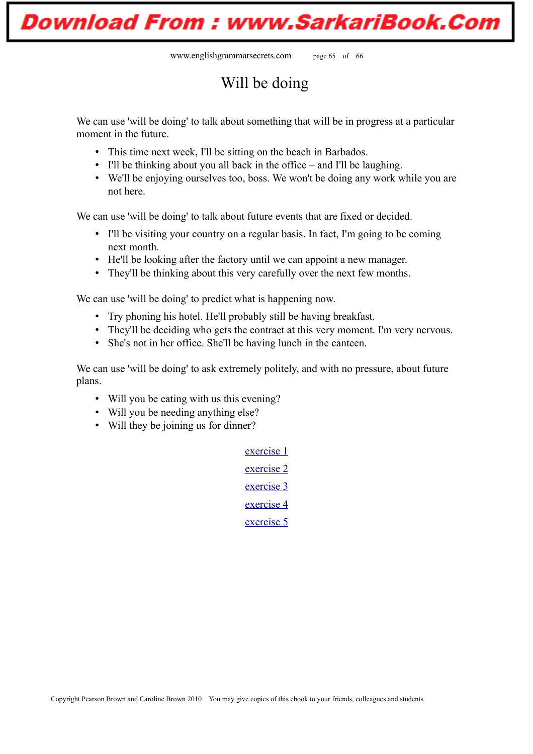www.englishgrammarsecrets.com page 65 of 66

#### Will be doing

We can use 'will be doing' to talk about something that will be in progress at a particular moment in the future.

- This time next week, I'll be sitting on the beach in Barbados.
- I'll be thinking about you all back in the office and I'll be laughing.
- We'll be enjoying ourselves too, boss. We won't be doing any work while you are not here.

We can use 'will be doing' to talk about future events that are fixed or decided.

- I'll be visiting your country on a regular basis. In fact, I'm going to be coming next month.
- He'll be looking after the factory until we can appoint a new manager.
- They'll be thinking about this very carefully over the next few months.

We can use 'will be doing' to predict what is happening now.

- Try phoning his hotel. He'll probably still be having breakfast.
- They'll be deciding who gets the contract at this very moment. I'm very nervous.
- She's not in her office. She'll be having lunch in the canteen.

We can use 'will be doing' to ask extremely politely, and with no pressure, about future plans.

- Will you be eating with us this evening?
- Will you be needing anything else?
- Will they be joining us for dinner?
	- [exercise 1](http://englishgrammarsecrets.com/willbedoing/exercise1.swf)
	- [exercise 2](http://englishgrammarsecrets.com/willbedoing/exercise2.swf)
	- [exercise 3](http://englishgrammarsecrets.com/willbedoing/exercise3.swf)
	- [exercise 4](http://englishgrammarsecrets.com/willbedoing/exercise4.swf)
	- [exercise 5](http://englishgrammarsecrets.com/willbedoing/exercise5.swf)